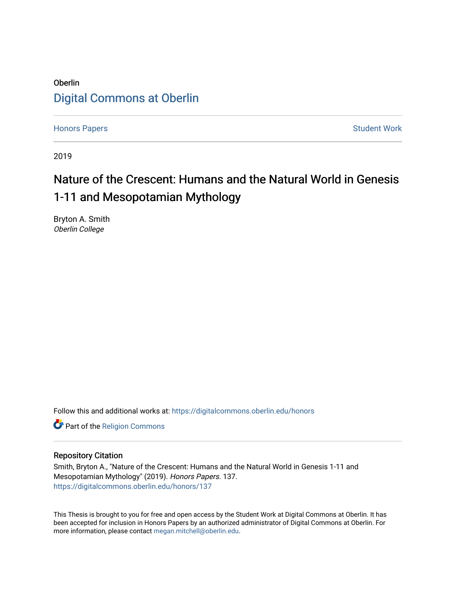### Oberlin [Digital Commons at Oberlin](https://digitalcommons.oberlin.edu/)

[Honors Papers](https://digitalcommons.oberlin.edu/honors) **Student Work** 

2019

# Nature of the Crescent: Humans and the Natural World in Genesis 1-11 and Mesopotamian Mythology

Bryton A. Smith Oberlin College

Follow this and additional works at: [https://digitalcommons.oberlin.edu/honors](https://digitalcommons.oberlin.edu/honors?utm_source=digitalcommons.oberlin.edu%2Fhonors%2F137&utm_medium=PDF&utm_campaign=PDFCoverPages) 

Part of the [Religion Commons](http://network.bepress.com/hgg/discipline/538?utm_source=digitalcommons.oberlin.edu%2Fhonors%2F137&utm_medium=PDF&utm_campaign=PDFCoverPages)

#### Repository Citation

Smith, Bryton A., "Nature of the Crescent: Humans and the Natural World in Genesis 1-11 and Mesopotamian Mythology" (2019). Honors Papers. 137. [https://digitalcommons.oberlin.edu/honors/137](https://digitalcommons.oberlin.edu/honors/137?utm_source=digitalcommons.oberlin.edu%2Fhonors%2F137&utm_medium=PDF&utm_campaign=PDFCoverPages) 

This Thesis is brought to you for free and open access by the Student Work at Digital Commons at Oberlin. It has been accepted for inclusion in Honors Papers by an authorized administrator of Digital Commons at Oberlin. For more information, please contact [megan.mitchell@oberlin.edu.](mailto:megan.mitchell@oberlin.edu)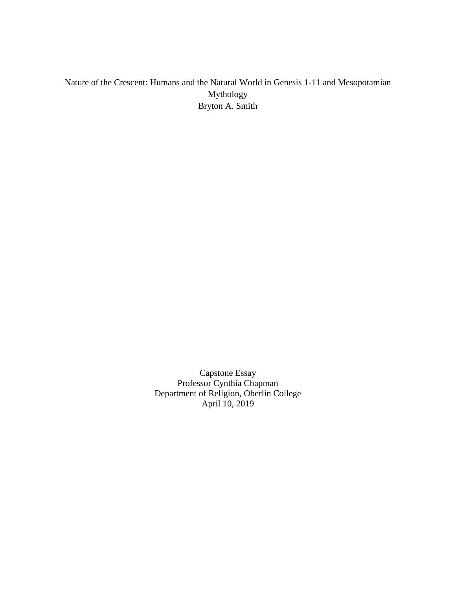### Nature of the Crescent: Humans and the Natural World in Genesis 1-11 and Mesopotamian Mythology Bryton A. Smith

Capstone Essay Professor Cynthia Chapman Department of Religion, Oberlin College April 10, 2019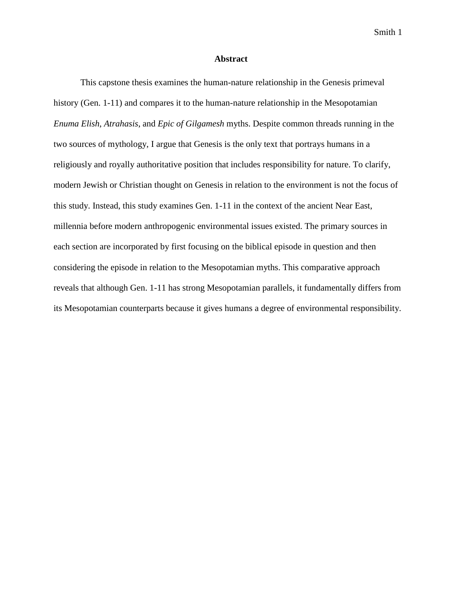#### **Abstract**

This capstone thesis examines the human-nature relationship in the Genesis primeval history (Gen. 1-11) and compares it to the human-nature relationship in the Mesopotamian *Enuma Elish*, *Atrahasis*, and *Epic of Gilgamesh* myths. Despite common threads running in the two sources of mythology, I argue that Genesis is the only text that portrays humans in a religiously and royally authoritative position that includes responsibility for nature. To clarify, modern Jewish or Christian thought on Genesis in relation to the environment is not the focus of this study. Instead, this study examines Gen. 1-11 in the context of the ancient Near East, millennia before modern anthropogenic environmental issues existed. The primary sources in each section are incorporated by first focusing on the biblical episode in question and then considering the episode in relation to the Mesopotamian myths. This comparative approach reveals that although Gen. 1-11 has strong Mesopotamian parallels, it fundamentally differs from its Mesopotamian counterparts because it gives humans a degree of environmental responsibility.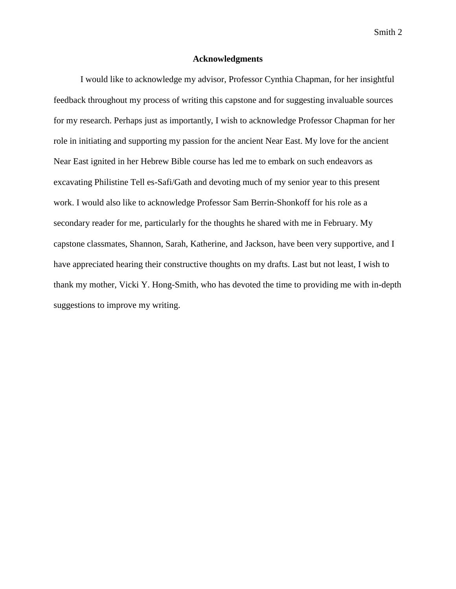#### **Acknowledgments**

I would like to acknowledge my advisor, Professor Cynthia Chapman, for her insightful feedback throughout my process of writing this capstone and for suggesting invaluable sources for my research. Perhaps just as importantly, I wish to acknowledge Professor Chapman for her role in initiating and supporting my passion for the ancient Near East. My love for the ancient Near East ignited in her Hebrew Bible course has led me to embark on such endeavors as excavating Philistine Tell es-Safi/Gath and devoting much of my senior year to this present work. I would also like to acknowledge Professor Sam Berrin-Shonkoff for his role as a secondary reader for me, particularly for the thoughts he shared with me in February. My capstone classmates, Shannon, Sarah, Katherine, and Jackson, have been very supportive, and I have appreciated hearing their constructive thoughts on my drafts. Last but not least, I wish to thank my mother, Vicki Y. Hong-Smith, who has devoted the time to providing me with in-depth suggestions to improve my writing.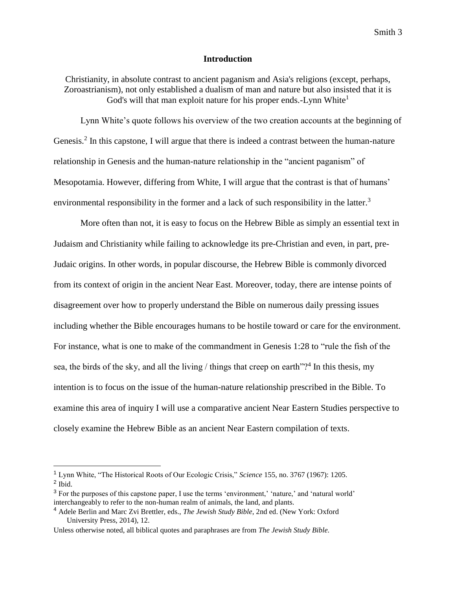#### **Introduction**

Christianity, in absolute contrast to ancient paganism and Asia's religions (except, perhaps, Zoroastrianism), not only established a dualism of man and nature but also insisted that it is God's will that man exploit nature for his proper ends.-Lynn White<sup>1</sup>

Lynn White's quote follows his overview of the two creation accounts at the beginning of Genesis.<sup>2</sup> In this capstone, I will argue that there is indeed a contrast between the human-nature relationship in Genesis and the human-nature relationship in the "ancient paganism" of Mesopotamia. However, differing from White, I will argue that the contrast is that of humans' environmental responsibility in the former and a lack of such responsibility in the latter.<sup>3</sup>

More often than not, it is easy to focus on the Hebrew Bible as simply an essential text in Judaism and Christianity while failing to acknowledge its pre-Christian and even, in part, pre-Judaic origins. In other words, in popular discourse, the Hebrew Bible is commonly divorced from its context of origin in the ancient Near East. Moreover, today, there are intense points of disagreement over how to properly understand the Bible on numerous daily pressing issues including whether the Bible encourages humans to be hostile toward or care for the environment. For instance, what is one to make of the commandment in Genesis 1:28 to "rule the fish of the sea, the birds of the sky, and all the living  $/$  things that creep on earth"?<sup>4</sup> In this thesis, my intention is to focus on the issue of the human-nature relationship prescribed in the Bible. To examine this area of inquiry I will use a comparative ancient Near Eastern Studies perspective to closely examine the Hebrew Bible as an ancient Near Eastern compilation of texts.

<sup>1</sup> Lynn White, "The Historical Roots of Our Ecologic Crisis," *Science* 155, no. 3767 (1967): 1205. <sup>2</sup> Ibid.

<sup>3</sup> For the purposes of this capstone paper, I use the terms 'environment,' 'nature,' and 'natural world' interchangeably to refer to the non-human realm of animals, the land, and plants.

<sup>4</sup> Adele Berlin and Marc Zvi Brettler, eds., *The Jewish Study Bible*, 2nd ed. (New York: Oxford University Press, 2014), 12.

Unless otherwise noted, all biblical quotes and paraphrases are from *The Jewish Study Bible.*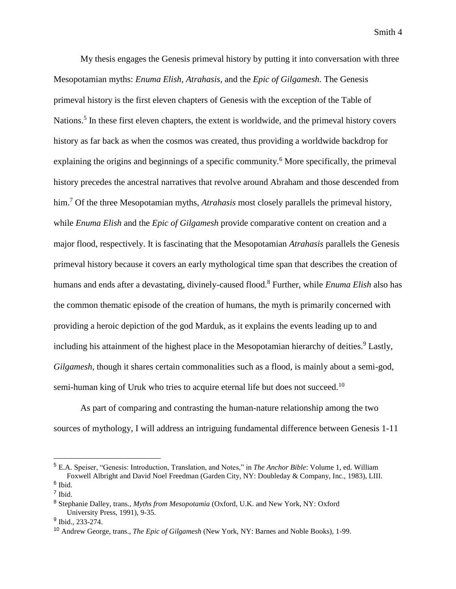My thesis engages the Genesis primeval history by putting it into conversation with three Mesopotamian myths: *Enuma Elish*, *Atrahasis*, and the *Epic of Gilgamesh.* The Genesis primeval history is the first eleven chapters of Genesis with the exception of the Table of Nations.<sup>5</sup> In these first eleven chapters, the extent is worldwide, and the primeval history covers history as far back as when the cosmos was created, thus providing a worldwide backdrop for explaining the origins and beginnings of a specific community.<sup>6</sup> More specifically, the primeval history precedes the ancestral narratives that revolve around Abraham and those descended from him.<sup>7</sup> Of the three Mesopotamian myths, *Atrahasis* most closely parallels the primeval history, while *Enuma Elish* and the *Epic of Gilgamesh* provide comparative content on creation and a major flood, respectively. It is fascinating that the Mesopotamian *Atrahasis* parallels the Genesis primeval history because it covers an early mythological time span that describes the creation of humans and ends after a devastating, divinely-caused flood.<sup>8</sup> Further, while *Enuma Elish* also has the common thematic episode of the creation of humans, the myth is primarily concerned with providing a heroic depiction of the god Marduk, as it explains the events leading up to and including his attainment of the highest place in the Mesopotamian hierarchy of deities.<sup>9</sup> Lastly, *Gilgamesh*, though it shares certain commonalities such as a flood, is mainly about a semi-god, semi-human king of Uruk who tries to acquire eternal life but does not succeed.<sup>10</sup>

As part of comparing and contrasting the human-nature relationship among the two sources of mythology, I will address an intriguing fundamental difference between Genesis 1-11

<sup>5</sup> E.A. Speiser, "Genesis: Introduction, Translation, and Notes," in *The Anchor Bible*: Volume 1, ed. William Foxwell Albright and David Noel Freedman (Garden City, NY: Doubleday & Company, Inc., 1983), LIII. <sup>6</sup> Ibid.

<sup>7</sup> Ibid.

<sup>8</sup> Stephanie Dalley, trans., *Myths from Mesopotamia* (Oxford, U.K. and New York, NY: Oxford University Press, 1991), 9-35.

<sup>&</sup>lt;sup>9</sup> Ibid., 233-274.

<sup>10</sup> Andrew George, trans., *The Epic of Gilgamesh* (New York, NY: Barnes and Noble Books), 1-99.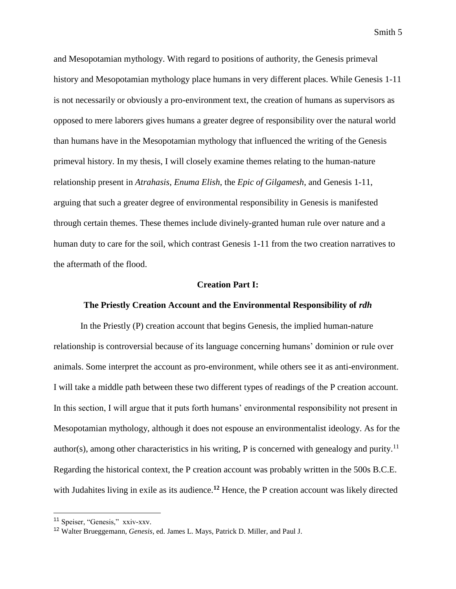and Mesopotamian mythology. With regard to positions of authority, the Genesis primeval history and Mesopotamian mythology place humans in very different places. While Genesis 1-11 is not necessarily or obviously a pro-environment text, the creation of humans as supervisors as opposed to mere laborers gives humans a greater degree of responsibility over the natural world than humans have in the Mesopotamian mythology that influenced the writing of the Genesis primeval history. In my thesis, I will closely examine themes relating to the human-nature relationship present in *Atrahasis*, *Enuma Elish*, the *Epic of Gilgamesh*, and Genesis 1-11, arguing that such a greater degree of environmental responsibility in Genesis is manifested through certain themes. These themes include divinely-granted human rule over nature and a human duty to care for the soil, which contrast Genesis 1-11 from the two creation narratives to the aftermath of the flood.

#### **Creation Part I:**

#### **The Priestly Creation Account and the Environmental Responsibility of** *rdh*

In the Priestly (P) creation account that begins Genesis, the implied human-nature relationship is controversial because of its language concerning humans' dominion or rule over animals. Some interpret the account as pro-environment, while others see it as anti-environment. I will take a middle path between these two different types of readings of the P creation account. In this section, I will argue that it puts forth humans' environmental responsibility not present in Mesopotamian mythology, although it does not espouse an environmentalist ideology. As for the author(s), among other characteristics in his writing, P is concerned with genealogy and purity.<sup>11</sup> Regarding the historical context, the P creation account was probably written in the 500s B.C.E. with Judahites living in exile as its audience.**<sup>12</sup>** Hence, the P creation account was likely directed

<sup>11</sup> Speiser, "Genesis," xxiv-xxv.

<sup>12</sup> Walter Brueggemann, *Genesis*, ed. James L. Mays, Patrick D. Miller, and Paul J.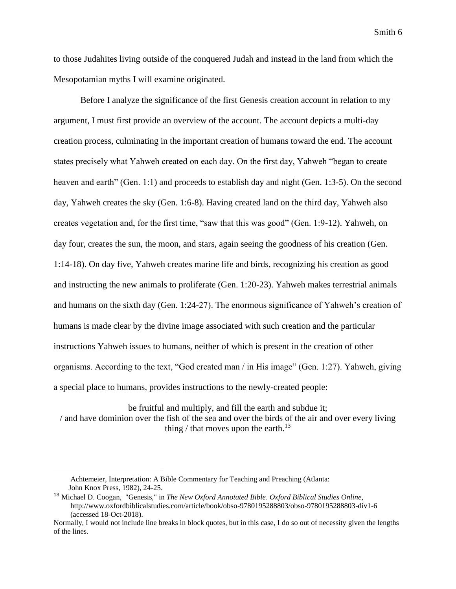to those Judahites living outside of the conquered Judah and instead in the land from which the Mesopotamian myths I will examine originated.

Before I analyze the significance of the first Genesis creation account in relation to my argument, I must first provide an overview of the account. The account depicts a multi-day creation process, culminating in the important creation of humans toward the end. The account states precisely what Yahweh created on each day. On the first day, Yahweh "began to create heaven and earth" (Gen. 1:1) and proceeds to establish day and night (Gen. 1:3-5). On the second day, Yahweh creates the sky (Gen. 1:6-8). Having created land on the third day, Yahweh also creates vegetation and, for the first time, "saw that this was good" (Gen. 1:9-12). Yahweh, on day four, creates the sun, the moon, and stars, again seeing the goodness of his creation (Gen. 1:14-18). On day five, Yahweh creates marine life and birds, recognizing his creation as good and instructing the new animals to proliferate (Gen. 1:20-23). Yahweh makes terrestrial animals and humans on the sixth day (Gen. 1:24-27). The enormous significance of Yahweh's creation of humans is made clear by the divine image associated with such creation and the particular instructions Yahweh issues to humans, neither of which is present in the creation of other organisms. According to the text, "God created man / in His image" (Gen. 1:27). Yahweh, giving a special place to humans, provides instructions to the newly-created people:

be fruitful and multiply, and fill the earth and subdue it; / and have dominion over the fish of the sea and over the birds of the air and over every living thing / that moves upon the earth.<sup>13</sup>

Achtemeier, Interpretation: A Bible Commentary for Teaching and Preaching (Atlanta: John Knox Press, 1982), 24-25.

<sup>13</sup> Michael D. Coogan, "Genesis," in *The New Oxford Annotated Bible*. *Oxford Biblical Studies Online*, http://www.oxfordbiblicalstudies.com/article/book/obso-9780195288803/obso-9780195288803-div1-6 (accessed 18-Oct-2018).

Normally, I would not include line breaks in block quotes, but in this case, I do so out of necessity given the lengths of the lines.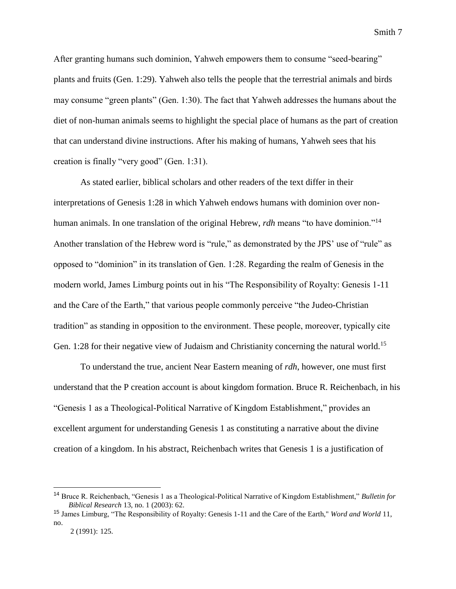After granting humans such dominion, Yahweh empowers them to consume "seed-bearing" plants and fruits (Gen. 1:29). Yahweh also tells the people that the terrestrial animals and birds may consume "green plants" (Gen. 1:30). The fact that Yahweh addresses the humans about the diet of non-human animals seems to highlight the special place of humans as the part of creation that can understand divine instructions. After his making of humans, Yahweh sees that his creation is finally "very good" (Gen. 1:31).

As stated earlier, biblical scholars and other readers of the text differ in their interpretations of Genesis 1:28 in which Yahweh endows humans with dominion over nonhuman animals. In one translation of the original Hebrew, *rdh* means "to have dominion."<sup>14</sup> Another translation of the Hebrew word is "rule," as demonstrated by the JPS' use of "rule" as opposed to "dominion" in its translation of Gen. 1:28. Regarding the realm of Genesis in the modern world, James Limburg points out in his "The Responsibility of Royalty: Genesis 1-11 and the Care of the Earth," that various people commonly perceive "the Judeo-Christian tradition" as standing in opposition to the environment. These people, moreover, typically cite Gen. 1:28 for their negative view of Judaism and Christianity concerning the natural world.<sup>15</sup>

To understand the true, ancient Near Eastern meaning of *rdh*, however, one must first understand that the P creation account is about kingdom formation. Bruce R. Reichenbach, in his "Genesis 1 as a Theological-Political Narrative of Kingdom Establishment," provides an excellent argument for understanding Genesis 1 as constituting a narrative about the divine creation of a kingdom. In his abstract, Reichenbach writes that Genesis 1 is a justification of

<sup>14</sup> Bruce R. Reichenbach, "Genesis 1 as a Theological-Political Narrative of Kingdom Establishment," *Bulletin for Biblical Research* 13, no. 1 (2003): 62.

<sup>15</sup> James Limburg, "The Responsibility of Royalty: Genesis 1-11 and the Care of the Earth," *Word and World* 11, no.

 <sup>2 (1991):</sup> 125.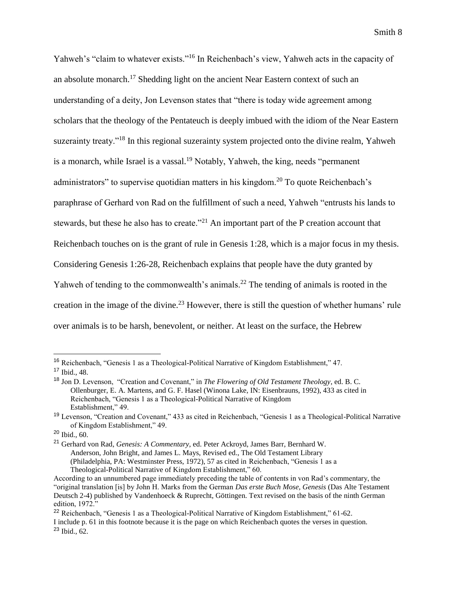Yahweh's "claim to whatever exists."<sup>16</sup> In Reichenbach's view, Yahweh acts in the capacity of an absolute monarch.<sup>17</sup> Shedding light on the ancient Near Eastern context of such an understanding of a deity, Jon Levenson states that "there is today wide agreement among scholars that the theology of the Pentateuch is deeply imbued with the idiom of the Near Eastern suzerainty treaty."<sup>18</sup> In this regional suzerainty system projected onto the divine realm, Yahweh is a monarch, while Israel is a vassal.<sup>19</sup> Notably, Yahweh, the king, needs "permanent administrators" to supervise quotidian matters in his kingdom.<sup>20</sup> To quote Reichenbach's paraphrase of Gerhard von Rad on the fulfillment of such a need, Yahweh "entrusts his lands to stewards, but these he also has to create."<sup>21</sup> An important part of the P creation account that Reichenbach touches on is the grant of rule in Genesis 1:28, which is a major focus in my thesis. Considering Genesis 1:26-28, Reichenbach explains that people have the duty granted by Yahweh of tending to the commonwealth's animals.<sup>22</sup> The tending of animals is rooted in the creation in the image of the divine.<sup>23</sup> However, there is still the question of whether humans' rule over animals is to be harsh, benevolent, or neither. At least on the surface, the Hebrew

<sup>16</sup> Reichenbach, "Genesis 1 as a Theological-Political Narrative of Kingdom Establishment," 47.

<sup>17</sup> Ibid., 48.

<sup>18</sup> Jon D. Levenson, "Creation and Covenant," in *The Flowering of Old Testament Theology*, ed. B. C. Ollenburger, E. A. Martens, and G. F. Hasel (Winona Lake, IN: Eisenbrauns, 1992), 433 as cited in Reichenbach, "Genesis 1 as a Theological-Political Narrative of Kingdom Establishment," 49.

<sup>19</sup> Levenson, "Creation and Covenant," 433 as cited in Reichenbach, "Genesis 1 as a Theological-Political Narrative of Kingdom Establishment," 49.

 $20$  Ibid., 60.

<sup>21</sup> Gerhard von Rad, *Genesis: A Commentary*, ed. Peter Ackroyd, James Barr, Bernhard W. Anderson, John Bright, and James L. Mays, Revised ed., The Old Testament Library (Philadelphia, PA: Westminster Press, 1972), 57 as cited in Reichenbach, "Genesis 1 as a Theological-Political Narrative of Kingdom Establishment," 60.

According to an unnumbered page immediately preceding the table of contents in von Rad's commentary, the "original translation [is] by John H. Marks from the German *Das erste Buch Mose, Genesis* (Das Alte Testament Deutsch 2-4) published by Vandenhoeck & Ruprecht, Göttingen. Text revised on the basis of the ninth German edition, 1972."

<sup>&</sup>lt;sup>22</sup> Reichenbach, "Genesis 1 as a Theological-Political Narrative of Kingdom Establishment," 61-62. I include p. 61 in this footnote because it is the page on which Reichenbach quotes the verses in question. <sup>23</sup> Ibid., 62.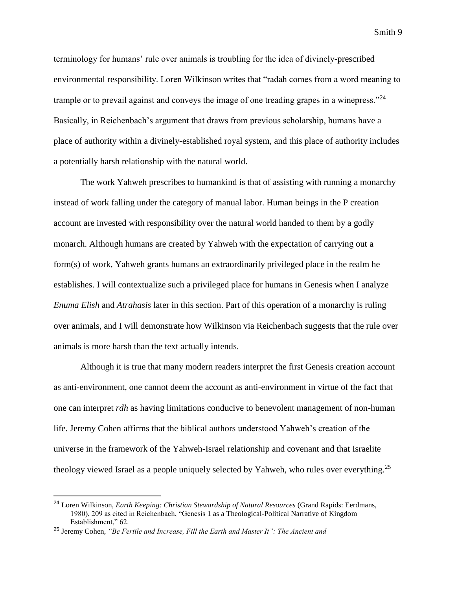terminology for humans' rule over animals is troubling for the idea of divinely-prescribed environmental responsibility. Loren Wilkinson writes that "radah comes from a word meaning to trample or to prevail against and conveys the image of one treading grapes in a winepress."<sup>24</sup> Basically, in Reichenbach's argument that draws from previous scholarship, humans have a place of authority within a divinely-established royal system, and this place of authority includes a potentially harsh relationship with the natural world.

The work Yahweh prescribes to humankind is that of assisting with running a monarchy instead of work falling under the category of manual labor. Human beings in the P creation account are invested with responsibility over the natural world handed to them by a godly monarch. Although humans are created by Yahweh with the expectation of carrying out a form(s) of work, Yahweh grants humans an extraordinarily privileged place in the realm he establishes. I will contextualize such a privileged place for humans in Genesis when I analyze *Enuma Elish* and *Atrahasis* later in this section. Part of this operation of a monarchy is ruling over animals, and I will demonstrate how Wilkinson via Reichenbach suggests that the rule over animals is more harsh than the text actually intends.

Although it is true that many modern readers interpret the first Genesis creation account as anti-environment, one cannot deem the account as anti-environment in virtue of the fact that one can interpret *rdh* as having limitations conducive to benevolent management of non-human life. Jeremy Cohen affirms that the biblical authors understood Yahweh's creation of the universe in the framework of the Yahweh-Israel relationship and covenant and that Israelite theology viewed Israel as a people uniquely selected by Yahweh, who rules over everything.<sup>25</sup>

<sup>24</sup> Loren Wilkinson, *Earth Keeping: Christian Stewardship of Natural Resources* (Grand Rapids: Eerdmans, 1980), 209 as cited in Reichenbach, "Genesis 1 as a Theological-Political Narrative of Kingdom Establishment," 62.

<sup>25</sup> Jeremy Cohen, *"Be Fertile and Increase, Fill the Earth and Master It": The Ancient and*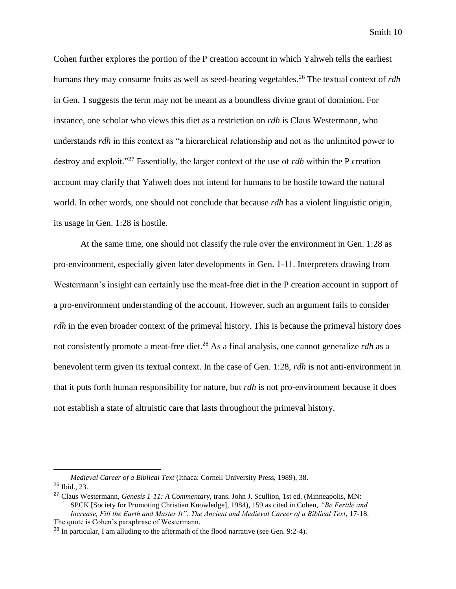Cohen further explores the portion of the P creation account in which Yahweh tells the earliest humans they may consume fruits as well as seed-bearing vegetables.<sup>26</sup> The textual context of *rdh* in Gen. 1 suggests the term may not be meant as a boundless divine grant of dominion. For instance, one scholar who views this diet as a restriction on *rdh* is Claus Westermann, who understands *rdh* in this context as "a hierarchical relationship and not as the unlimited power to destroy and exploit."<sup>27</sup> Essentially, the larger context of the use of *rdh* within the P creation account may clarify that Yahweh does not intend for humans to be hostile toward the natural world. In other words, one should not conclude that because *rdh* has a violent linguistic origin, its usage in Gen. 1:28 is hostile.

At the same time, one should not classify the rule over the environment in Gen. 1:28 as pro-environment, especially given later developments in Gen. 1-11. Interpreters drawing from Westermann's insight can certainly use the meat-free diet in the P creation account in support of a pro-environment understanding of the account*.* However, such an argument fails to consider *rdh* in the even broader context of the primeval history. This is because the primeval history does not consistently promote a meat-free diet.<sup>28</sup> As a final analysis, one cannot generalize *rdh* as a benevolent term given its textual context. In the case of Gen. 1:28, *rdh* is not anti-environment in that it puts forth human responsibility for nature, but *rdh* is not pro-environment because it does not establish a state of altruistic care that lasts throughout the primeval history.

*Medieval Career of a Biblical Text* (Ithaca: Cornell University Press, 1989), 38. <sup>26</sup> Ibid., 23.

<sup>27</sup> Claus Westermann, *Genesis 1-11: A Commentary*, trans. John J. Scullion, 1st ed. (Minneapolis, MN: SPCK [Society for Promoting Christian Knowledge], 1984), 159 as cited in Cohen, *"Be Fertile and Increase, Fill the Earth and Master It": The Ancient and Medieval Career of a Biblical Text*, 17-18. The quote is Cohen's paraphrase of Westermann.

<sup>&</sup>lt;sup>28</sup> In particular, I am alluding to the aftermath of the flood narrative (see Gen. 9:2-4).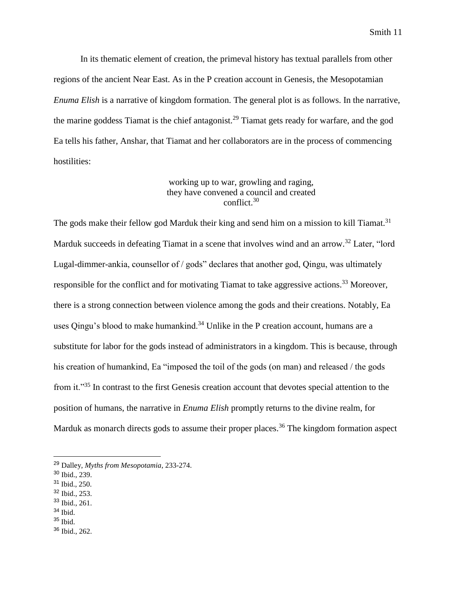In its thematic element of creation, the primeval history has textual parallels from other regions of the ancient Near East. As in the P creation account in Genesis, the Mesopotamian *Enuma Elish* is a narrative of kingdom formation. The general plot is as follows. In the narrative, the marine goddess Tiamat is the chief antagonist.<sup>29</sup> Tiamat gets ready for warfare, and the god Ea tells his father, Anshar, that Tiamat and her collaborators are in the process of commencing hostilities:

#### working up to war, growling and raging, they have convened a council and created conflict.<sup>30</sup>

The gods make their fellow god Marduk their king and send him on a mission to kill Tiamat.<sup>31</sup> Marduk succeeds in defeating Tiamat in a scene that involves wind and an arrow.<sup>32</sup> Later, "lord Lugal-dimmer-ankia, counsellor of / gods" declares that another god, Qingu, was ultimately responsible for the conflict and for motivating Tiamat to take aggressive actions.<sup>33</sup> Moreover, there is a strong connection between violence among the gods and their creations. Notably, Ea uses Oingu's blood to make humankind.<sup>34</sup> Unlike in the P creation account, humans are a substitute for labor for the gods instead of administrators in a kingdom. This is because, through his creation of humankind, Ea "imposed the toil of the gods (on man) and released / the gods from it."<sup>35</sup> In contrast to the first Genesis creation account that devotes special attention to the position of humans, the narrative in *Enuma Elish* promptly returns to the divine realm, for Marduk as monarch directs gods to assume their proper places.<sup>36</sup> The kingdom formation aspect

- <sup>31</sup> Ibid., 250.
- <sup>32</sup> Ibid., 253.
- <sup>33</sup> Ibid., 261.
- <sup>34</sup> Ibid.

- $35$  Ibid.
- <sup>36</sup> Ibid., 262.

<sup>29</sup> Dalley, *Myths from Mesopotamia*, 233-274.

<sup>30</sup> Ibid., 239.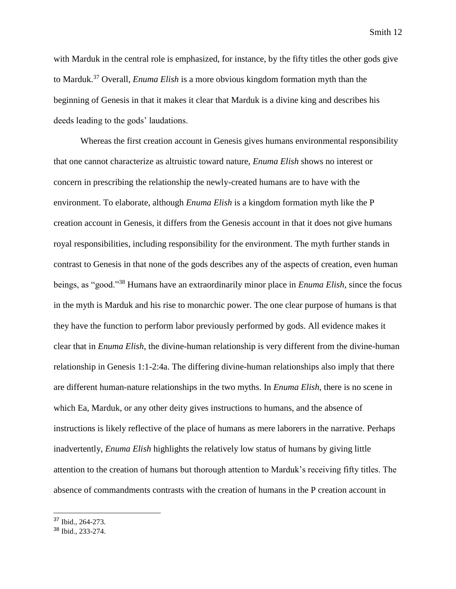with Marduk in the central role is emphasized, for instance, by the fifty titles the other gods give to Marduk.<sup>37</sup> Overall, *Enuma Elish* is a more obvious kingdom formation myth than the beginning of Genesis in that it makes it clear that Marduk is a divine king and describes his deeds leading to the gods' laudations.

Whereas the first creation account in Genesis gives humans environmental responsibility that one cannot characterize as altruistic toward nature, *Enuma Elish* shows no interest or concern in prescribing the relationship the newly-created humans are to have with the environment. To elaborate, although *Enuma Elish* is a kingdom formation myth like the P creation account in Genesis, it differs from the Genesis account in that it does not give humans royal responsibilities, including responsibility for the environment. The myth further stands in contrast to Genesis in that none of the gods describes any of the aspects of creation, even human beings, as "good."<sup>38</sup> Humans have an extraordinarily minor place in *Enuma Elish*, since the focus in the myth is Marduk and his rise to monarchic power. The one clear purpose of humans is that they have the function to perform labor previously performed by gods. All evidence makes it clear that in *Enuma Elish*, the divine-human relationship is very different from the divine-human relationship in Genesis 1:1-2:4a. The differing divine-human relationships also imply that there are different human-nature relationships in the two myths. In *Enuma Elish*, there is no scene in which Ea, Marduk, or any other deity gives instructions to humans, and the absence of instructions is likely reflective of the place of humans as mere laborers in the narrative. Perhaps inadvertently, *Enuma Elish* highlights the relatively low status of humans by giving little attention to the creation of humans but thorough attention to Marduk's receiving fifty titles. The absence of commandments contrasts with the creation of humans in the P creation account in

<sup>37</sup> Ibid., 264-273.

<sup>38</sup> Ibid., 233-274.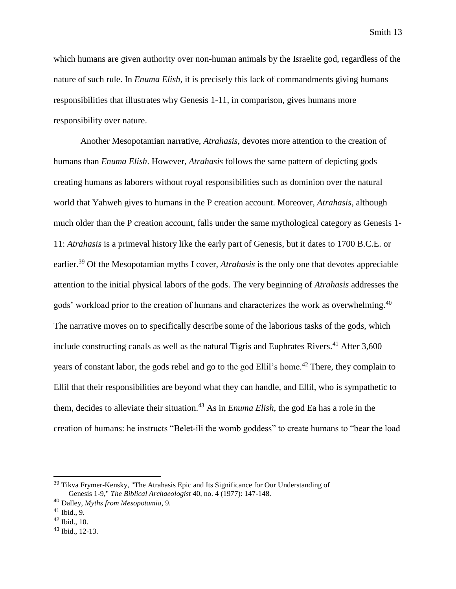which humans are given authority over non-human animals by the Israelite god, regardless of the nature of such rule. In *Enuma Elish*, it is precisely this lack of commandments giving humans responsibilities that illustrates why Genesis 1-11, in comparison, gives humans more responsibility over nature.

Another Mesopotamian narrative, *Atrahasis*, devotes more attention to the creation of humans than *Enuma Elish*. However, *Atrahasis* follows the same pattern of depicting gods creating humans as laborers without royal responsibilities such as dominion over the natural world that Yahweh gives to humans in the P creation account. Moreover, *Atrahasis*, although much older than the P creation account, falls under the same mythological category as Genesis 1- 11: *Atrahasis* is a primeval history like the early part of Genesis, but it dates to 1700 B.C.E. or earlier.<sup>39</sup> Of the Mesopotamian myths I cover, *Atrahasis* is the only one that devotes appreciable attention to the initial physical labors of the gods. The very beginning of *Atrahasis* addresses the gods' workload prior to the creation of humans and characterizes the work as overwhelming.<sup>40</sup> The narrative moves on to specifically describe some of the laborious tasks of the gods, which include constructing canals as well as the natural Tigris and Euphrates Rivers.<sup>41</sup> After  $3,600$ years of constant labor, the gods rebel and go to the god Ellil's home.<sup>42</sup> There, they complain to Ellil that their responsibilities are beyond what they can handle, and Ellil, who is sympathetic to them, decides to alleviate their situation.<sup>43</sup> As in *Enuma Elish*, the god Ea has a role in the creation of humans: he instructs "Belet-ili the womb goddess" to create humans to "bear the load

<sup>&</sup>lt;sup>39</sup> Tikva Frymer-Kensky, "The Atrahasis Epic and Its Significance for Our Understanding of Genesis 1-9," *The Biblical Archaeologist* 40, no. 4 (1977): 147-148.

<sup>40</sup> Dalley, *Myths from Mesopotamia*, 9.

 $41$  Ibid., 9.

 $42$  Ibid., 10.

<sup>43</sup> Ibid., 12-13.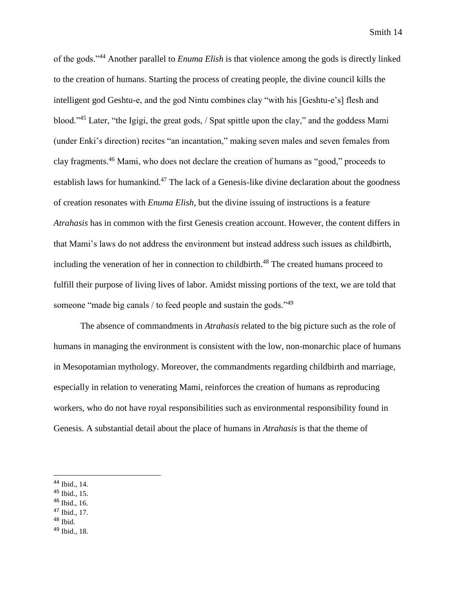of the gods."<sup>44</sup> Another parallel to *Enuma Elish* is that violence among the gods is directly linked to the creation of humans. Starting the process of creating people, the divine council kills the intelligent god Geshtu-e, and the god Nintu combines clay "with his [Geshtu-e's] flesh and blood."<sup>45</sup> Later, "the Igigi, the great gods, / Spat spittle upon the clay," and the goddess Mami (under Enki's direction) recites "an incantation," making seven males and seven females from clay fragments.<sup>46</sup> Mami, who does not declare the creation of humans as "good," proceeds to establish laws for humankind.<sup>47</sup> The lack of a Genesis-like divine declaration about the goodness of creation resonates with *Enuma Elish*, but the divine issuing of instructions is a feature *Atrahasis* has in common with the first Genesis creation account. However, the content differs in that Mami's laws do not address the environment but instead address such issues as childbirth, including the veneration of her in connection to childbirth.<sup>48</sup> The created humans proceed to fulfill their purpose of living lives of labor. Amidst missing portions of the text, we are told that someone "made big canals / to feed people and sustain the gods."<sup>49</sup>

The absence of commandments in *Atrahasis* related to the big picture such as the role of humans in managing the environment is consistent with the low, non-monarchic place of humans in Mesopotamian mythology. Moreover, the commandments regarding childbirth and marriage, especially in relation to venerating Mami, reinforces the creation of humans as reproducing workers, who do not have royal responsibilities such as environmental responsibility found in Genesis. A substantial detail about the place of humans in *Atrahasis* is that the theme of

- <sup>45</sup> Ibid., 15.
- $46$  Ibid., 16.
- $47$  Ibid., 17.
- $48$  Ibid.
- <sup>49</sup> Ibid., 18.

<sup>44</sup> Ibid., 14.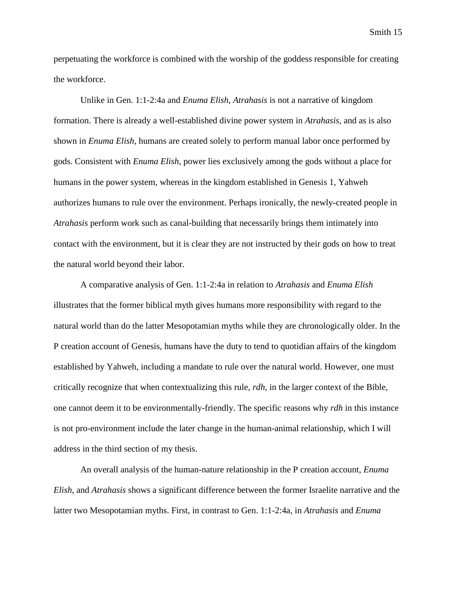perpetuating the workforce is combined with the worship of the goddess responsible for creating the workforce.

Unlike in Gen. 1:1-2:4a and *Enuma Elish*, *Atrahasis* is not a narrative of kingdom formation. There is already a well-established divine power system in *Atrahasis*, and as is also shown in *Enuma Elish*, humans are created solely to perform manual labor once performed by gods. Consistent with *Enuma Elish*, power lies exclusively among the gods without a place for humans in the power system, whereas in the kingdom established in Genesis 1, Yahweh authorizes humans to rule over the environment. Perhaps ironically, the newly-created people in *Atrahasis* perform work such as canal-building that necessarily brings them intimately into contact with the environment, but it is clear they are not instructed by their gods on how to treat the natural world beyond their labor.

A comparative analysis of Gen. 1:1-2:4a in relation to *Atrahasis* and *Enuma Elish*  illustrates that the former biblical myth gives humans more responsibility with regard to the natural world than do the latter Mesopotamian myths while they are chronologically older. In the P creation account of Genesis, humans have the duty to tend to quotidian affairs of the kingdom established by Yahweh, including a mandate to rule over the natural world. However, one must critically recognize that when contextualizing this rule, *rdh*, in the larger context of the Bible, one cannot deem it to be environmentally-friendly. The specific reasons why *rdh* in this instance is not pro-environment include the later change in the human-animal relationship, which I will address in the third section of my thesis.

An overall analysis of the human-nature relationship in the P creation account, *Enuma Elish*, and *Atrahasis* shows a significant difference between the former Israelite narrative and the latter two Mesopotamian myths. First, in contrast to Gen. 1:1-2:4a, in *Atrahasis* and *Enuma*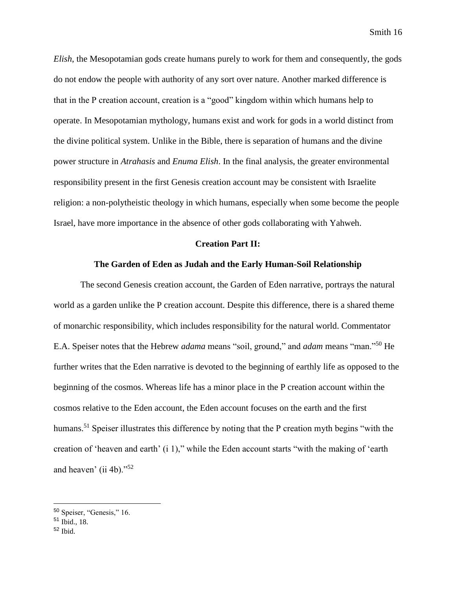*Elish*, the Mesopotamian gods create humans purely to work for them and consequently, the gods do not endow the people with authority of any sort over nature. Another marked difference is that in the P creation account, creation is a "good" kingdom within which humans help to operate. In Mesopotamian mythology, humans exist and work for gods in a world distinct from the divine political system. Unlike in the Bible, there is separation of humans and the divine power structure in *Atrahasis* and *Enuma Elish*. In the final analysis, the greater environmental responsibility present in the first Genesis creation account may be consistent with Israelite religion: a non-polytheistic theology in which humans, especially when some become the people Israel, have more importance in the absence of other gods collaborating with Yahweh.

#### **Creation Part II:**

#### **The Garden of Eden as Judah and the Early Human-Soil Relationship**

The second Genesis creation account, the Garden of Eden narrative, portrays the natural world as a garden unlike the P creation account. Despite this difference, there is a shared theme of monarchic responsibility, which includes responsibility for the natural world. Commentator E.A. Speiser notes that the Hebrew *adama* means "soil, ground," and *adam* means "man."<sup>50</sup> He further writes that the Eden narrative is devoted to the beginning of earthly life as opposed to the beginning of the cosmos. Whereas life has a minor place in the P creation account within the cosmos relative to the Eden account, the Eden account focuses on the earth and the first humans.<sup>51</sup> Speiser illustrates this difference by noting that the P creation myth begins "with the creation of 'heaven and earth' (i 1)," while the Eden account starts "with the making of 'earth and heaven' (ii 4b)."<sup>52</sup>

<sup>50</sup> Speiser, "Genesis," 16.

 $51$  Ibid.,  $18$ .

<sup>52</sup> Ibid.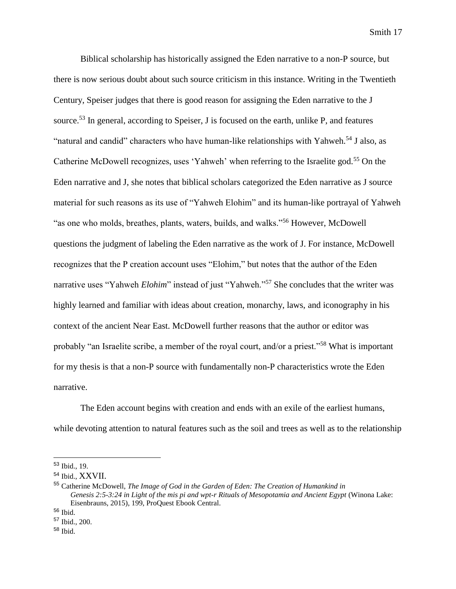Biblical scholarship has historically assigned the Eden narrative to a non-P source, but there is now serious doubt about such source criticism in this instance. Writing in the Twentieth Century, Speiser judges that there is good reason for assigning the Eden narrative to the J source.<sup>53</sup> In general, according to Speiser, J is focused on the earth, unlike P, and features "natural and candid" characters who have human-like relationships with Yahweh.<sup>54</sup> J also, as Catherine McDowell recognizes, uses 'Yahweh' when referring to the Israelite god.<sup>55</sup> On the Eden narrative and J, she notes that biblical scholars categorized the Eden narrative as J source material for such reasons as its use of "Yahweh Elohim" and its human-like portrayal of Yahweh "as one who molds, breathes, plants, waters, builds, and walks."<sup>56</sup> However, McDowell questions the judgment of labeling the Eden narrative as the work of J. For instance, McDowell recognizes that the P creation account uses "Elohim," but notes that the author of the Eden narrative uses "Yahweh *Elohim*" instead of just "Yahweh."<sup>57</sup> She concludes that the writer was highly learned and familiar with ideas about creation, monarchy, laws, and iconography in his context of the ancient Near East. McDowell further reasons that the author or editor was probably "an Israelite scribe, a member of the royal court, and/or a priest."<sup>58</sup> What is important for my thesis is that a non-P source with fundamentally non-P characteristics wrote the Eden narrative.

The Eden account begins with creation and ends with an exile of the earliest humans, while devoting attention to natural features such as the soil and trees as well as to the relationship

<sup>53</sup> Ibid., 19.

<sup>54</sup> Ibid., XXVII.

<sup>55</sup> Catherine McDowell, *The Image of God in the Garden of Eden: The Creation of Humankind in Genesis 2:5-3:24 in Light of the mis pi and wpt-r Rituals of Mesopotamia and Ancient Egypt* (Winona Lake: Eisenbrauns, 2015), 199, ProQuest Ebook Central.

<sup>56</sup> Ibid.

<sup>57</sup> Ibid., 200.

<sup>58</sup> Ibid.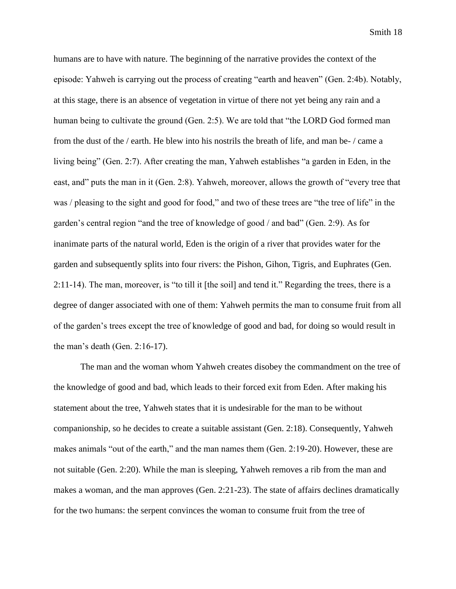humans are to have with nature. The beginning of the narrative provides the context of the episode: Yahweh is carrying out the process of creating "earth and heaven" (Gen. 2:4b). Notably, at this stage, there is an absence of vegetation in virtue of there not yet being any rain and a human being to cultivate the ground (Gen. 2:5). We are told that "the LORD God formed man from the dust of the / earth. He blew into his nostrils the breath of life, and man be- / came a living being" (Gen. 2:7). After creating the man, Yahweh establishes "a garden in Eden, in the east, and" puts the man in it (Gen. 2:8). Yahweh, moreover, allows the growth of "every tree that was / pleasing to the sight and good for food," and two of these trees are "the tree of life" in the garden's central region "and the tree of knowledge of good / and bad" (Gen. 2:9). As for inanimate parts of the natural world, Eden is the origin of a river that provides water for the garden and subsequently splits into four rivers: the Pishon, Gihon, Tigris, and Euphrates (Gen. 2:11-14). The man, moreover, is "to till it [the soil] and tend it." Regarding the trees, there is a degree of danger associated with one of them: Yahweh permits the man to consume fruit from all of the garden's trees except the tree of knowledge of good and bad, for doing so would result in the man's death (Gen. 2:16-17).

The man and the woman whom Yahweh creates disobey the commandment on the tree of the knowledge of good and bad, which leads to their forced exit from Eden. After making his statement about the tree, Yahweh states that it is undesirable for the man to be without companionship, so he decides to create a suitable assistant (Gen. 2:18). Consequently, Yahweh makes animals "out of the earth," and the man names them (Gen. 2:19-20). However, these are not suitable (Gen. 2:20). While the man is sleeping, Yahweh removes a rib from the man and makes a woman, and the man approves (Gen. 2:21-23). The state of affairs declines dramatically for the two humans: the serpent convinces the woman to consume fruit from the tree of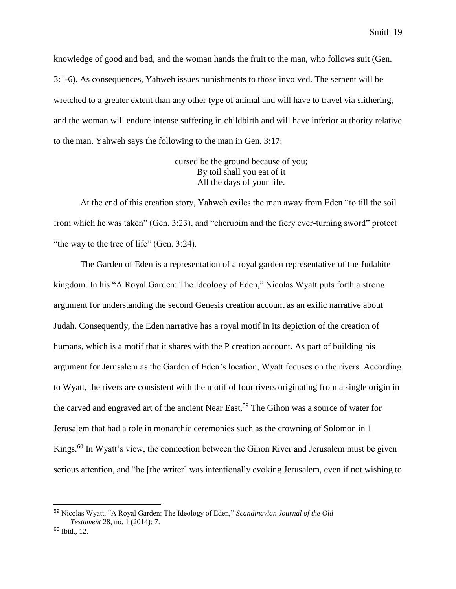knowledge of good and bad, and the woman hands the fruit to the man, who follows suit (Gen. 3:1-6). As consequences, Yahweh issues punishments to those involved. The serpent will be wretched to a greater extent than any other type of animal and will have to travel via slithering, and the woman will endure intense suffering in childbirth and will have inferior authority relative to the man. Yahweh says the following to the man in Gen. 3:17:

> cursed be the ground because of you; By toil shall you eat of it All the days of your life.

At the end of this creation story, Yahweh exiles the man away from Eden "to till the soil from which he was taken" (Gen. 3:23), and "cherubim and the fiery ever-turning sword" protect "the way to the tree of life" (Gen. 3:24).

The Garden of Eden is a representation of a royal garden representative of the Judahite kingdom. In his "A Royal Garden: The Ideology of Eden," Nicolas Wyatt puts forth a strong argument for understanding the second Genesis creation account as an exilic narrative about Judah. Consequently, the Eden narrative has a royal motif in its depiction of the creation of humans, which is a motif that it shares with the P creation account. As part of building his argument for Jerusalem as the Garden of Eden's location, Wyatt focuses on the rivers. According to Wyatt, the rivers are consistent with the motif of four rivers originating from a single origin in the carved and engraved art of the ancient Near East.<sup>59</sup> The Gihon was a source of water for Jerusalem that had a role in monarchic ceremonies such as the crowning of Solomon in 1 Kings.<sup>60</sup> In Wyatt's view, the connection between the Gihon River and Jerusalem must be given serious attention, and "he [the writer] was intentionally evoking Jerusalem, even if not wishing to

<sup>59</sup> Nicolas Wyatt, "A Royal Garden: The Ideology of Eden," *Scandinavian Journal of the Old Testament* 28, no. 1 (2014): 7.

<sup>60</sup> Ibid., 12.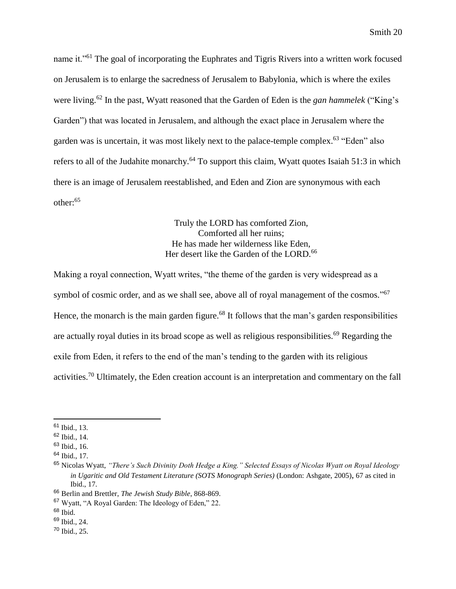name it."<sup>61</sup> The goal of incorporating the Euphrates and Tigris Rivers into a written work focused on Jerusalem is to enlarge the sacredness of Jerusalem to Babylonia, which is where the exiles were living.<sup>62</sup> In the past, Wyatt reasoned that the Garden of Eden is the *gan hammelek* ("King's Garden") that was located in Jerusalem, and although the exact place in Jerusalem where the garden was is uncertain, it was most likely next to the palace-temple complex.<sup>63</sup> "Eden" also refers to all of the Judahite monarchy.<sup>64</sup> To support this claim, Wyatt quotes Isaiah 51:3 in which there is an image of Jerusalem reestablished, and Eden and Zion are synonymous with each other:<sup>65</sup>

> Truly the LORD has comforted Zion, Comforted all her ruins; He has made her wilderness like Eden, Her desert like the Garden of the LORD.<sup>66</sup>

Making a royal connection, Wyatt writes, "the theme of the garden is very widespread as a symbol of cosmic order, and as we shall see, above all of royal management of the cosmos."<sup>67</sup> Hence, the monarch is the main garden figure.<sup>68</sup> It follows that the man's garden responsibilities are actually royal duties in its broad scope as well as religious responsibilities.<sup>69</sup> Regarding the exile from Eden, it refers to the end of the man's tending to the garden with its religious activities.<sup>70</sup> Ultimately, the Eden creation account is an interpretation and commentary on the fall

<sup>61</sup> Ibid., 13.

<sup>62</sup> Ibid., 14.

 $63$  Ibid., 16.

<sup>64</sup> Ibid., 17.

<sup>65</sup> Nicolas Wyatt, *"There's Such Divinity Doth Hedge a King." Selected Essays of Nicolas Wyatt on Royal Ideology in Ugaritic and Old Testament Literature (SOTS Monograph Series)* (London: Ashgate, 2005), 67 as cited in Ibid., 17.

<sup>66</sup> Berlin and Brettler, *The Jewish Study Bible*, 868-869.

<sup>67</sup> Wyatt, "A Royal Garden: The Ideology of Eden," 22.

 $68$  Ibid.

<sup>69</sup> Ibid., 24.

<sup>70</sup> Ibid., 25.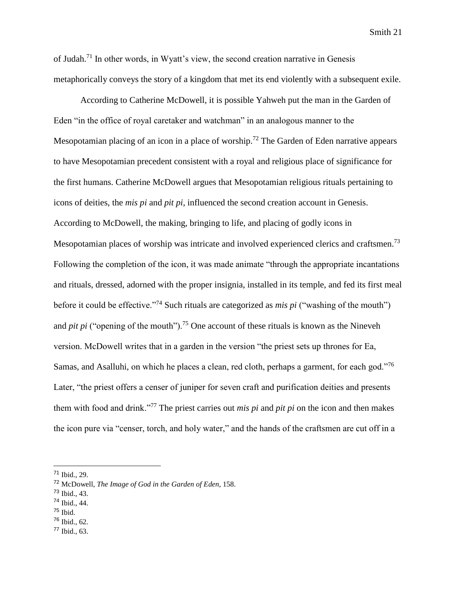of Judah.<sup>71</sup> In other words, in Wyatt's view, the second creation narrative in Genesis metaphorically conveys the story of a kingdom that met its end violently with a subsequent exile.

According to Catherine McDowell, it is possible Yahweh put the man in the Garden of Eden "in the office of royal caretaker and watchman" in an analogous manner to the Mesopotamian placing of an icon in a place of worship.<sup>72</sup> The Garden of Eden narrative appears to have Mesopotamian precedent consistent with a royal and religious place of significance for the first humans. Catherine McDowell argues that Mesopotamian religious rituals pertaining to icons of deities, the *mis pi* and *pit pi*, influenced the second creation account in Genesis. According to McDowell, the making, bringing to life, and placing of godly icons in Mesopotamian places of worship was intricate and involved experienced clerics and craftsmen.<sup>73</sup> Following the completion of the icon, it was made animate "through the appropriate incantations and rituals, dressed, adorned with the proper insignia, installed in its temple, and fed its first meal before it could be effective."<sup>74</sup> Such rituals are categorized as *mis pi* ("washing of the mouth") and *pit pi* ("opening of the mouth").<sup>75</sup> One account of these rituals is known as the Nineveh version. McDowell writes that in a garden in the version "the priest sets up thrones for Ea, Samas, and Asalluhi, on which he places a clean, red cloth, perhaps a garment, for each god."<sup>76</sup> Later, "the priest offers a censer of juniper for seven craft and purification deities and presents them with food and drink."<sup>77</sup> The priest carries out *mis pi* and *pit pi* on the icon and then makes the icon pure via "censer, torch, and holy water," and the hands of the craftsmen are cut off in a

<sup>73</sup> Ibid., 43.

- $75$  Ibid.
- $76$  Ibid., 62.
- <sup>77</sup> Ibid., 63.

<sup>71</sup> Ibid., 29.

<sup>72</sup> McDowell, *The Image of God in the Garden of Eden*, 158.

<sup>74</sup> Ibid., 44.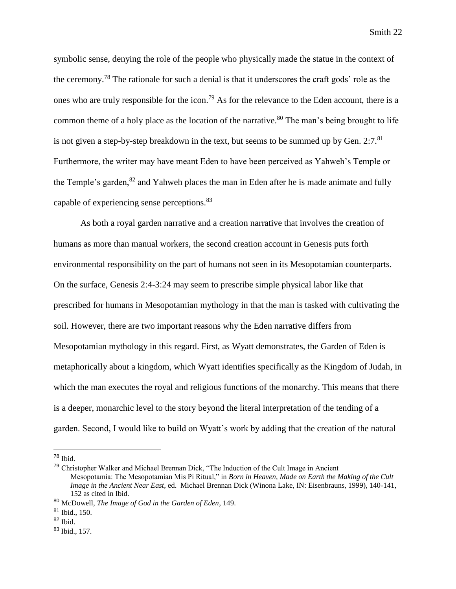symbolic sense, denying the role of the people who physically made the statue in the context of the ceremony.<sup>78</sup> The rationale for such a denial is that it underscores the craft gods' role as the ones who are truly responsible for the icon.<sup>79</sup> As for the relevance to the Eden account, there is a common theme of a holy place as the location of the narrative.<sup>80</sup> The man's being brought to life is not given a step-by-step breakdown in the text, but seems to be summed up by Gen.  $2:7.^{81}$ Furthermore, the writer may have meant Eden to have been perceived as Yahweh's Temple or the Temple's garden, $82$  and Yahweh places the man in Eden after he is made animate and fully capable of experiencing sense perceptions.<sup>83</sup>

As both a royal garden narrative and a creation narrative that involves the creation of humans as more than manual workers, the second creation account in Genesis puts forth environmental responsibility on the part of humans not seen in its Mesopotamian counterparts. On the surface, Genesis 2:4-3:24 may seem to prescribe simple physical labor like that prescribed for humans in Mesopotamian mythology in that the man is tasked with cultivating the soil. However, there are two important reasons why the Eden narrative differs from Mesopotamian mythology in this regard. First, as Wyatt demonstrates, the Garden of Eden is metaphorically about a kingdom, which Wyatt identifies specifically as the Kingdom of Judah, in which the man executes the royal and religious functions of the monarchy. This means that there is a deeper, monarchic level to the story beyond the literal interpretation of the tending of a garden. Second, I would like to build on Wyatt's work by adding that the creation of the natural

<sup>78</sup> Ibid.

<sup>79</sup> Christopher Walker and Michael Brennan Dick, "The Induction of the Cult Image in Ancient Mesopotamia: The Mesopotamian Mis Pi Ritual," in *Born in Heaven, Made on Earth the Making of the Cult Image in the Ancient Near East*, ed. Michael Brennan Dick (Winona Lake, IN: Eisenbrauns, 1999), 140-141, 152 as cited in Ibid.

<sup>80</sup> McDowell, *The Image of God in the Garden of Eden*, 149.

<sup>81</sup> Ibid., 150.

 $82$  Ibid.

<sup>83</sup> Ibid., 157.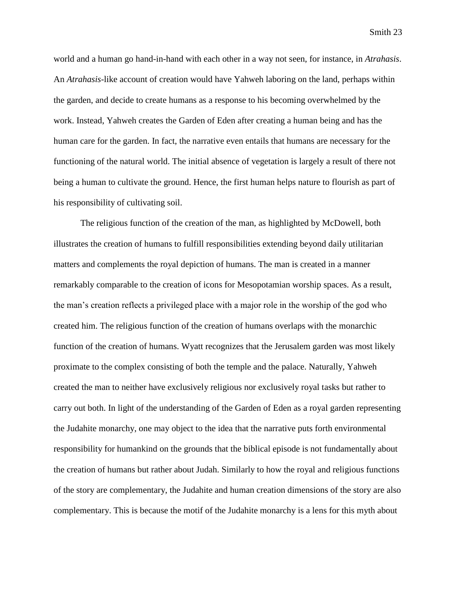world and a human go hand-in-hand with each other in a way not seen, for instance, in *Atrahasis*. An *Atrahasis*-like account of creation would have Yahweh laboring on the land, perhaps within the garden, and decide to create humans as a response to his becoming overwhelmed by the work. Instead, Yahweh creates the Garden of Eden after creating a human being and has the human care for the garden. In fact, the narrative even entails that humans are necessary for the functioning of the natural world. The initial absence of vegetation is largely a result of there not being a human to cultivate the ground. Hence, the first human helps nature to flourish as part of his responsibility of cultivating soil.

The religious function of the creation of the man, as highlighted by McDowell, both illustrates the creation of humans to fulfill responsibilities extending beyond daily utilitarian matters and complements the royal depiction of humans. The man is created in a manner remarkably comparable to the creation of icons for Mesopotamian worship spaces. As a result, the man's creation reflects a privileged place with a major role in the worship of the god who created him. The religious function of the creation of humans overlaps with the monarchic function of the creation of humans. Wyatt recognizes that the Jerusalem garden was most likely proximate to the complex consisting of both the temple and the palace. Naturally, Yahweh created the man to neither have exclusively religious nor exclusively royal tasks but rather to carry out both. In light of the understanding of the Garden of Eden as a royal garden representing the Judahite monarchy, one may object to the idea that the narrative puts forth environmental responsibility for humankind on the grounds that the biblical episode is not fundamentally about the creation of humans but rather about Judah. Similarly to how the royal and religious functions of the story are complementary, the Judahite and human creation dimensions of the story are also complementary. This is because the motif of the Judahite monarchy is a lens for this myth about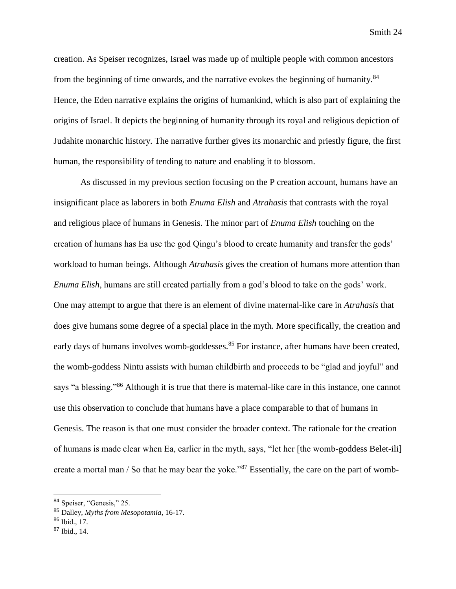creation. As Speiser recognizes, Israel was made up of multiple people with common ancestors from the beginning of time onwards, and the narrative evokes the beginning of humanity.<sup>84</sup> Hence, the Eden narrative explains the origins of humankind, which is also part of explaining the origins of Israel. It depicts the beginning of humanity through its royal and religious depiction of Judahite monarchic history. The narrative further gives its monarchic and priestly figure, the first human, the responsibility of tending to nature and enabling it to blossom.

As discussed in my previous section focusing on the P creation account, humans have an insignificant place as laborers in both *Enuma Elish* and *Atrahasis* that contrasts with the royal and religious place of humans in Genesis*.* The minor part of *Enuma Elish* touching on the creation of humans has Ea use the god Qingu's blood to create humanity and transfer the gods' workload to human beings. Although *Atrahasis* gives the creation of humans more attention than *Enuma Elish*, humans are still created partially from a god's blood to take on the gods' work. One may attempt to argue that there is an element of divine maternal-like care in *Atrahasis* that does give humans some degree of a special place in the myth. More specifically, the creation and early days of humans involves womb-goddesses.<sup>85</sup> For instance, after humans have been created, the womb-goddess Nintu assists with human childbirth and proceeds to be "glad and joyful" and says "a blessing."<sup>86</sup> Although it is true that there is maternal-like care in this instance, one cannot use this observation to conclude that humans have a place comparable to that of humans in Genesis. The reason is that one must consider the broader context. The rationale for the creation of humans is made clear when Ea, earlier in the myth, says, "let her [the womb-goddess Belet-ili] create a mortal man / So that he may bear the yoke."<sup>87</sup> Essentially, the care on the part of womb-

<sup>84</sup> Speiser, "Genesis," 25.

<sup>85</sup> Dalley, *Myths from Mesopotamia*, 16-17.

<sup>86</sup> Ibid., 17.

<sup>87</sup> Ibid., 14.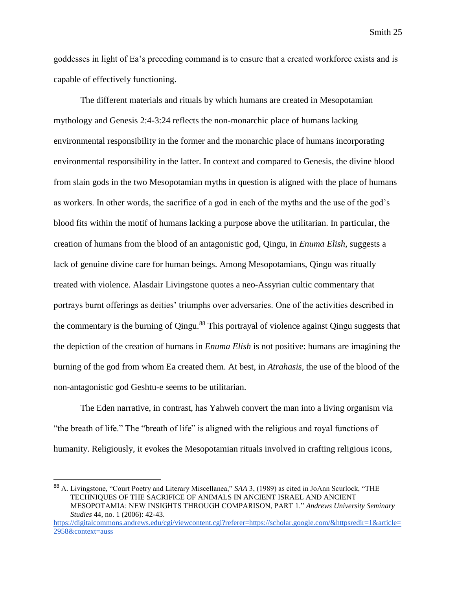goddesses in light of Ea's preceding command is to ensure that a created workforce exists and is capable of effectively functioning.

The different materials and rituals by which humans are created in Mesopotamian mythology and Genesis 2:4-3:24 reflects the non-monarchic place of humans lacking environmental responsibility in the former and the monarchic place of humans incorporating environmental responsibility in the latter. In context and compared to Genesis, the divine blood from slain gods in the two Mesopotamian myths in question is aligned with the place of humans as workers. In other words, the sacrifice of a god in each of the myths and the use of the god's blood fits within the motif of humans lacking a purpose above the utilitarian. In particular, the creation of humans from the blood of an antagonistic god, Qingu, in *Enuma Elish*, suggests a lack of genuine divine care for human beings. Among Mesopotamians, Qingu was ritually treated with violence. Alasdair Livingstone quotes a neo-Assyrian cultic commentary that portrays burnt offerings as deities' triumphs over adversaries. One of the activities described in the commentary is the burning of Qingu.<sup>88</sup> This portrayal of violence against Qingu suggests that the depiction of the creation of humans in *Enuma Elish* is not positive: humans are imagining the burning of the god from whom Ea created them. At best, in *Atrahasis*, the use of the blood of the non-antagonistic god Geshtu-e seems to be utilitarian.

The Eden narrative, in contrast, has Yahweh convert the man into a living organism via "the breath of life." The "breath of life" is aligned with the religious and royal functions of humanity. Religiously, it evokes the Mesopotamian rituals involved in crafting religious icons,

<sup>88</sup> A. Livingstone, "Court Poetry and Literary Miscellanea," *SAA* 3, (1989) as cited in JoAnn Scurlock, "THE TECHNIQUES OF THE SACRIFICE OF ANIMALS IN ANCIENT ISRAEL AND ANCIENT MESOPOTAMIA: NEW INSIGHTS THROUGH COMPARISON, PART 1." *Andrews University Seminary Studies* 44, no. 1 (2006): 42-43.

[https://digitalcommons.andrews.edu/cgi/viewcontent.cgi?referer=https://scholar.google.com/&httpsredir=1&article=](https://digitalcommons.andrews.edu/cgi/viewcontent.cgi?referer=https://scholar.google.com/&httpsredir=1&article=2958&context=auss) [2958&context=auss](https://digitalcommons.andrews.edu/cgi/viewcontent.cgi?referer=https://scholar.google.com/&httpsredir=1&article=2958&context=auss)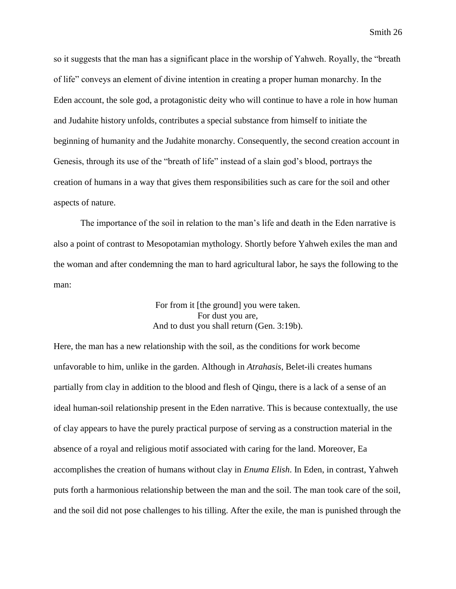so it suggests that the man has a significant place in the worship of Yahweh. Royally, the "breath of life" conveys an element of divine intention in creating a proper human monarchy. In the Eden account, the sole god, a protagonistic deity who will continue to have a role in how human and Judahite history unfolds, contributes a special substance from himself to initiate the beginning of humanity and the Judahite monarchy. Consequently, the second creation account in Genesis, through its use of the "breath of life" instead of a slain god's blood, portrays the creation of humans in a way that gives them responsibilities such as care for the soil and other aspects of nature.

The importance of the soil in relation to the man's life and death in the Eden narrative is also a point of contrast to Mesopotamian mythology. Shortly before Yahweh exiles the man and the woman and after condemning the man to hard agricultural labor, he says the following to the man:

> For from it [the ground] you were taken. For dust you are, And to dust you shall return (Gen. 3:19b).

Here, the man has a new relationship with the soil, as the conditions for work become unfavorable to him, unlike in the garden. Although in *Atrahasis*, Belet-ili creates humans partially from clay in addition to the blood and flesh of Qingu, there is a lack of a sense of an ideal human-soil relationship present in the Eden narrative. This is because contextually, the use of clay appears to have the purely practical purpose of serving as a construction material in the absence of a royal and religious motif associated with caring for the land. Moreover, Ea accomplishes the creation of humans without clay in *Enuma Elish*. In Eden, in contrast, Yahweh puts forth a harmonious relationship between the man and the soil. The man took care of the soil, and the soil did not pose challenges to his tilling. After the exile, the man is punished through the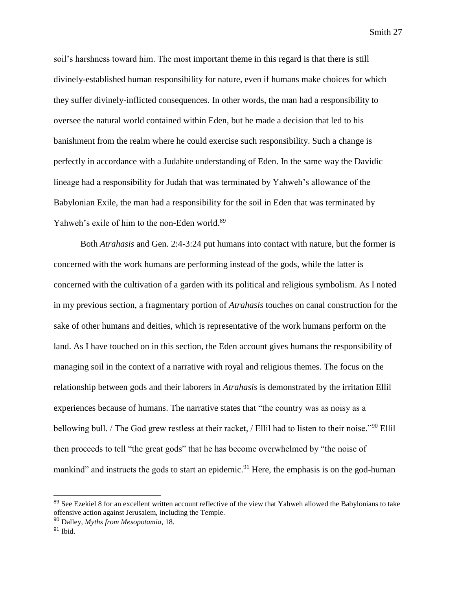soil's harshness toward him. The most important theme in this regard is that there is still divinely-established human responsibility for nature, even if humans make choices for which they suffer divinely-inflicted consequences. In other words, the man had a responsibility to oversee the natural world contained within Eden, but he made a decision that led to his banishment from the realm where he could exercise such responsibility. Such a change is perfectly in accordance with a Judahite understanding of Eden. In the same way the Davidic lineage had a responsibility for Judah that was terminated by Yahweh's allowance of the Babylonian Exile, the man had a responsibility for the soil in Eden that was terminated by Yahweh's exile of him to the non-Eden world.<sup>89</sup>

Both *Atrahasis* and Gen. 2:4-3:24 put humans into contact with nature, but the former is concerned with the work humans are performing instead of the gods, while the latter is concerned with the cultivation of a garden with its political and religious symbolism. As I noted in my previous section, a fragmentary portion of *Atrahasis* touches on canal construction for the sake of other humans and deities, which is representative of the work humans perform on the land. As I have touched on in this section, the Eden account gives humans the responsibility of managing soil in the context of a narrative with royal and religious themes. The focus on the relationship between gods and their laborers in *Atrahasis* is demonstrated by the irritation Ellil experiences because of humans. The narrative states that "the country was as noisy as a bellowing bull. / The God grew restless at their racket, / Ellil had to listen to their noise."<sup>90</sup> Ellil then proceeds to tell "the great gods" that he has become overwhelmed by "the noise of mankind" and instructs the gods to start an epidemic.<sup>91</sup> Here, the emphasis is on the god-human

<sup>&</sup>lt;sup>89</sup> See Ezekiel 8 for an excellent written account reflective of the view that Yahweh allowed the Babylonians to take offensive action against Jerusalem, including the Temple.

<sup>90</sup> Dalley, *Myths from Mesopotamia*, 18.

<sup>91</sup> Ibid.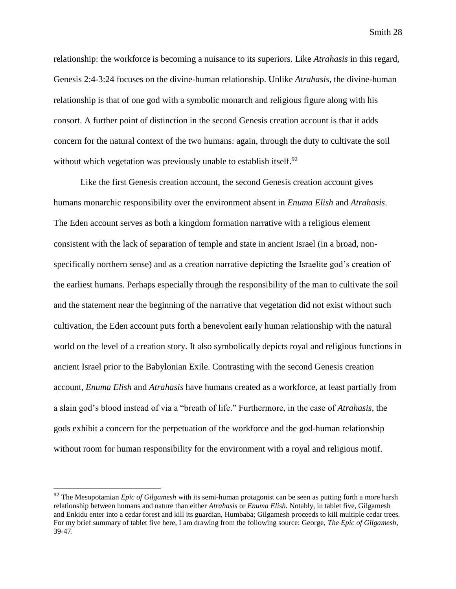relationship: the workforce is becoming a nuisance to its superiors. Like *Atrahasis* in this regard, Genesis 2:4-3:24 focuses on the divine-human relationship. Unlike *Atrahasis*, the divine-human relationship is that of one god with a symbolic monarch and religious figure along with his consort. A further point of distinction in the second Genesis creation account is that it adds concern for the natural context of the two humans: again, through the duty to cultivate the soil without which vegetation was previously unable to establish itself. $92$ 

Like the first Genesis creation account, the second Genesis creation account gives humans monarchic responsibility over the environment absent in *Enuma Elish* and *Atrahasis*. The Eden account serves as both a kingdom formation narrative with a religious element consistent with the lack of separation of temple and state in ancient Israel (in a broad, nonspecifically northern sense) and as a creation narrative depicting the Israelite god's creation of the earliest humans. Perhaps especially through the responsibility of the man to cultivate the soil and the statement near the beginning of the narrative that vegetation did not exist without such cultivation, the Eden account puts forth a benevolent early human relationship with the natural world on the level of a creation story. It also symbolically depicts royal and religious functions in ancient Israel prior to the Babylonian Exile. Contrasting with the second Genesis creation account, *Enuma Elish* and *Atrahasis* have humans created as a workforce, at least partially from a slain god's blood instead of via a "breath of life." Furthermore, in the case of *Atrahasis*, the gods exhibit a concern for the perpetuation of the workforce and the god-human relationship without room for human responsibility for the environment with a royal and religious motif.

<sup>92</sup> The Mesopotamian *Epic of Gilgamesh* with its semi-human protagonist can be seen as putting forth a more harsh relationship between humans and nature than either *Atrahasis* or *Enuma Elish*. Notably, in tablet five, Gilgamesh and Enkidu enter into a cedar forest and kill its guardian, Humbaba; Gilgamesh proceeds to kill multiple cedar trees. For my brief summary of tablet five here, I am drawing from the following source: George, *The Epic of Gilgamesh*, 39-47.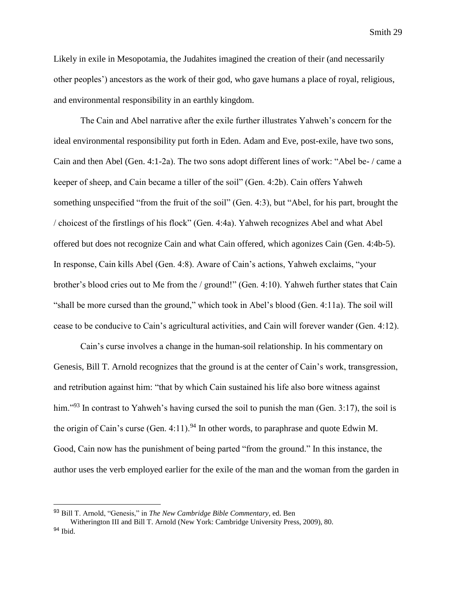Likely in exile in Mesopotamia, the Judahites imagined the creation of their (and necessarily other peoples') ancestors as the work of their god, who gave humans a place of royal, religious, and environmental responsibility in an earthly kingdom.

The Cain and Abel narrative after the exile further illustrates Yahweh's concern for the ideal environmental responsibility put forth in Eden. Adam and Eve, post-exile, have two sons, Cain and then Abel (Gen. 4:1-2a). The two sons adopt different lines of work: "Abel be- / came a keeper of sheep, and Cain became a tiller of the soil" (Gen. 4:2b). Cain offers Yahweh something unspecified "from the fruit of the soil" (Gen. 4:3), but "Abel, for his part, brought the / choicest of the firstlings of his flock" (Gen. 4:4a). Yahweh recognizes Abel and what Abel offered but does not recognize Cain and what Cain offered, which agonizes Cain (Gen. 4:4b-5). In response, Cain kills Abel (Gen. 4:8). Aware of Cain's actions, Yahweh exclaims, "your brother's blood cries out to Me from the / ground!" (Gen. 4:10). Yahweh further states that Cain "shall be more cursed than the ground," which took in Abel's blood (Gen. 4:11a). The soil will cease to be conducive to Cain's agricultural activities, and Cain will forever wander (Gen. 4:12).

Cain's curse involves a change in the human-soil relationship. In his commentary on Genesis, Bill T. Arnold recognizes that the ground is at the center of Cain's work, transgression, and retribution against him: "that by which Cain sustained his life also bore witness against him."<sup>93</sup> In contrast to Yahweh's having cursed the soil to punish the man (Gen. 3:17), the soil is the origin of Cain's curse (Gen. 4:11).<sup>94</sup> In other words, to paraphrase and quote Edwin M. Good, Cain now has the punishment of being parted "from the ground." In this instance, the author uses the verb employed earlier for the exile of the man and the woman from the garden in

<sup>93</sup> Bill T. Arnold, "Genesis," in *The New Cambridge Bible Commentary*, ed. Ben Witherington III and Bill T. Arnold (New York: Cambridge University Press, 2009), 80.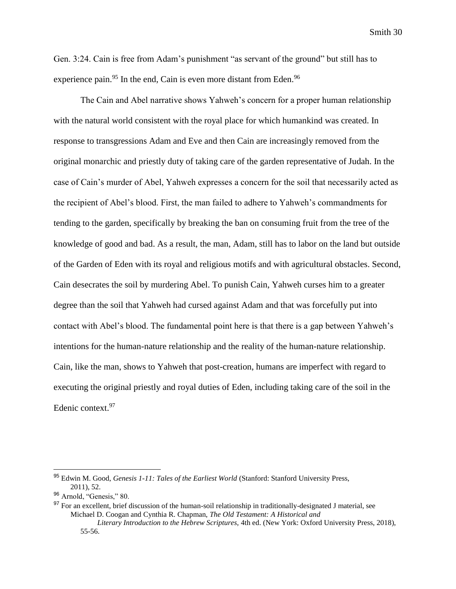Gen. 3:24. Cain is free from Adam's punishment "as servant of the ground" but still has to experience pain.<sup>95</sup> In the end, Cain is even more distant from Eden.<sup>96</sup>

The Cain and Abel narrative shows Yahweh's concern for a proper human relationship with the natural world consistent with the royal place for which humankind was created. In response to transgressions Adam and Eve and then Cain are increasingly removed from the original monarchic and priestly duty of taking care of the garden representative of Judah. In the case of Cain's murder of Abel, Yahweh expresses a concern for the soil that necessarily acted as the recipient of Abel's blood. First, the man failed to adhere to Yahweh's commandments for tending to the garden, specifically by breaking the ban on consuming fruit from the tree of the knowledge of good and bad. As a result, the man, Adam, still has to labor on the land but outside of the Garden of Eden with its royal and religious motifs and with agricultural obstacles. Second, Cain desecrates the soil by murdering Abel. To punish Cain, Yahweh curses him to a greater degree than the soil that Yahweh had cursed against Adam and that was forcefully put into contact with Abel's blood. The fundamental point here is that there is a gap between Yahweh's intentions for the human-nature relationship and the reality of the human-nature relationship. Cain, like the man, shows to Yahweh that post-creation, humans are imperfect with regard to executing the original priestly and royal duties of Eden, including taking care of the soil in the Edenic context.<sup>97</sup>

<sup>95</sup> Edwin M. Good, *Genesis 1-11: Tales of the Earliest World* (Stanford: Stanford University Press, 2011), 52.

<sup>96</sup> Arnold, "Genesis," 80.

<sup>&</sup>lt;sup>97</sup> For an excellent, brief discussion of the human-soil relationship in traditionally-designated J material, see Michael D. Coogan and Cynthia R. Chapman, *The Old Testament: A Historical and* 

*Literary Introduction to the Hebrew Scriptures,* 4th ed. (New York: Oxford University Press, 2018), 55-56.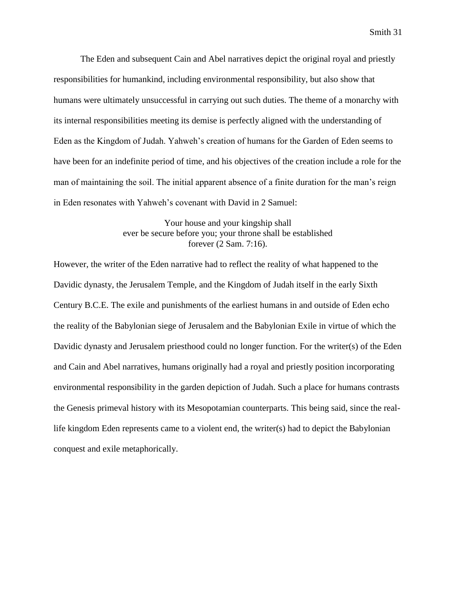The Eden and subsequent Cain and Abel narratives depict the original royal and priestly responsibilities for humankind, including environmental responsibility, but also show that humans were ultimately unsuccessful in carrying out such duties. The theme of a monarchy with its internal responsibilities meeting its demise is perfectly aligned with the understanding of Eden as the Kingdom of Judah. Yahweh's creation of humans for the Garden of Eden seems to have been for an indefinite period of time, and his objectives of the creation include a role for the man of maintaining the soil. The initial apparent absence of a finite duration for the man's reign in Eden resonates with Yahweh's covenant with David in 2 Samuel:

> Your house and your kingship shall ever be secure before you; your throne shall be established forever (2 Sam. 7:16).

However, the writer of the Eden narrative had to reflect the reality of what happened to the Davidic dynasty, the Jerusalem Temple, and the Kingdom of Judah itself in the early Sixth Century B.C.E. The exile and punishments of the earliest humans in and outside of Eden echo the reality of the Babylonian siege of Jerusalem and the Babylonian Exile in virtue of which the Davidic dynasty and Jerusalem priesthood could no longer function. For the writer(s) of the Eden and Cain and Abel narratives, humans originally had a royal and priestly position incorporating environmental responsibility in the garden depiction of Judah. Such a place for humans contrasts the Genesis primeval history with its Mesopotamian counterparts. This being said, since the reallife kingdom Eden represents came to a violent end, the writer(s) had to depict the Babylonian conquest and exile metaphorically.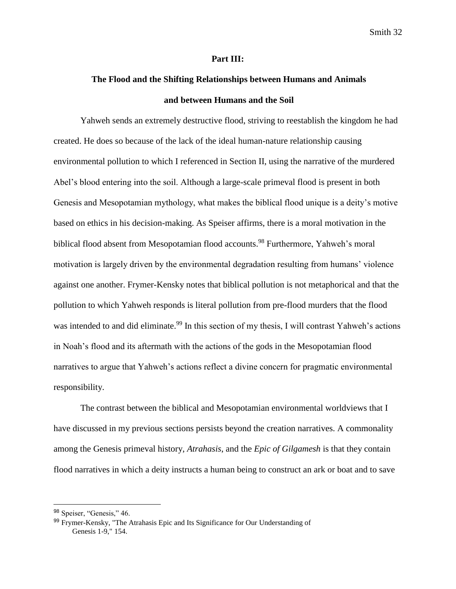#### **Part III:**

## **The Flood and the Shifting Relationships between Humans and Animals and between Humans and the Soil**

Yahweh sends an extremely destructive flood, striving to reestablish the kingdom he had created. He does so because of the lack of the ideal human-nature relationship causing environmental pollution to which I referenced in Section II, using the narrative of the murdered Abel's blood entering into the soil. Although a large-scale primeval flood is present in both Genesis and Mesopotamian mythology, what makes the biblical flood unique is a deity's motive based on ethics in his decision-making. As Speiser affirms, there is a moral motivation in the biblical flood absent from Mesopotamian flood accounts.<sup>98</sup> Furthermore, Yahweh's moral motivation is largely driven by the environmental degradation resulting from humans' violence against one another. Frymer-Kensky notes that biblical pollution is not metaphorical and that the pollution to which Yahweh responds is literal pollution from pre-flood murders that the flood was intended to and did eliminate.<sup>99</sup> In this section of my thesis, I will contrast Yahweh's actions in Noah's flood and its aftermath with the actions of the gods in the Mesopotamian flood narratives to argue that Yahweh's actions reflect a divine concern for pragmatic environmental responsibility.

The contrast between the biblical and Mesopotamian environmental worldviews that I have discussed in my previous sections persists beyond the creation narratives. A commonality among the Genesis primeval history, *Atrahasis*, and the *Epic of Gilgamesh* is that they contain flood narratives in which a deity instructs a human being to construct an ark or boat and to save

<sup>98</sup> Speiser, "Genesis," 46.

<sup>99</sup> Frymer-Kensky, "The Atrahasis Epic and Its Significance for Our Understanding of Genesis 1-9," 154.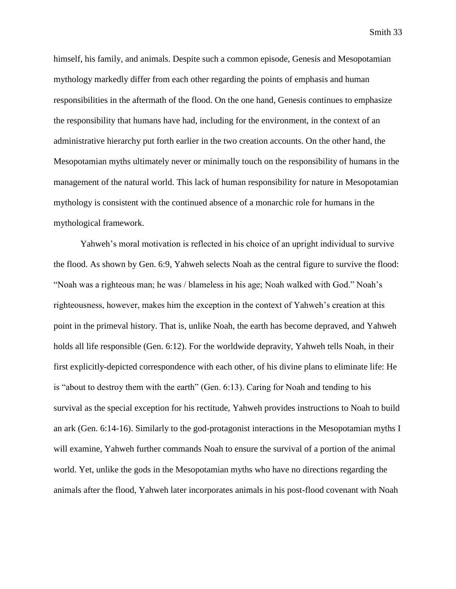himself, his family, and animals. Despite such a common episode, Genesis and Mesopotamian mythology markedly differ from each other regarding the points of emphasis and human responsibilities in the aftermath of the flood. On the one hand, Genesis continues to emphasize the responsibility that humans have had, including for the environment, in the context of an administrative hierarchy put forth earlier in the two creation accounts. On the other hand, the Mesopotamian myths ultimately never or minimally touch on the responsibility of humans in the management of the natural world. This lack of human responsibility for nature in Mesopotamian mythology is consistent with the continued absence of a monarchic role for humans in the mythological framework.

Yahweh's moral motivation is reflected in his choice of an upright individual to survive the flood. As shown by Gen. 6:9, Yahweh selects Noah as the central figure to survive the flood: "Noah was a righteous man; he was / blameless in his age; Noah walked with God." Noah's righteousness, however, makes him the exception in the context of Yahweh's creation at this point in the primeval history. That is, unlike Noah, the earth has become depraved, and Yahweh holds all life responsible (Gen. 6:12). For the worldwide depravity, Yahweh tells Noah, in their first explicitly-depicted correspondence with each other, of his divine plans to eliminate life: He is "about to destroy them with the earth" (Gen. 6:13). Caring for Noah and tending to his survival as the special exception for his rectitude, Yahweh provides instructions to Noah to build an ark (Gen. 6:14-16). Similarly to the god-protagonist interactions in the Mesopotamian myths I will examine, Yahweh further commands Noah to ensure the survival of a portion of the animal world. Yet, unlike the gods in the Mesopotamian myths who have no directions regarding the animals after the flood, Yahweh later incorporates animals in his post-flood covenant with Noah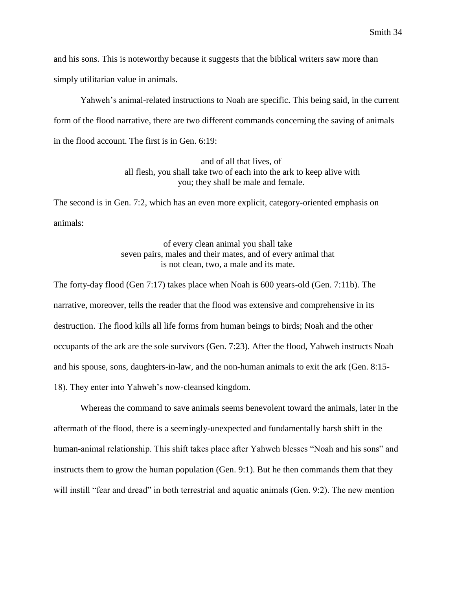and his sons. This is noteworthy because it suggests that the biblical writers saw more than simply utilitarian value in animals.

Yahweh's animal-related instructions to Noah are specific. This being said, in the current form of the flood narrative, there are two different commands concerning the saving of animals in the flood account. The first is in Gen. 6:19:

> and of all that lives, of all flesh, you shall take two of each into the ark to keep alive with you; they shall be male and female.

The second is in Gen. 7:2, which has an even more explicit, category-oriented emphasis on animals:

> of every clean animal you shall take seven pairs, males and their mates, and of every animal that is not clean, two, a male and its mate.

The forty-day flood (Gen 7:17) takes place when Noah is 600 years-old (Gen. 7:11b). The narrative, moreover, tells the reader that the flood was extensive and comprehensive in its destruction. The flood kills all life forms from human beings to birds; Noah and the other occupants of the ark are the sole survivors (Gen. 7:23). After the flood, Yahweh instructs Noah and his spouse, sons, daughters-in-law, and the non-human animals to exit the ark (Gen. 8:15- 18). They enter into Yahweh's now-cleansed kingdom.

Whereas the command to save animals seems benevolent toward the animals, later in the aftermath of the flood, there is a seemingly-unexpected and fundamentally harsh shift in the human-animal relationship. This shift takes place after Yahweh blesses "Noah and his sons" and instructs them to grow the human population (Gen. 9:1). But he then commands them that they will instill "fear and dread" in both terrestrial and aquatic animals (Gen. 9:2). The new mention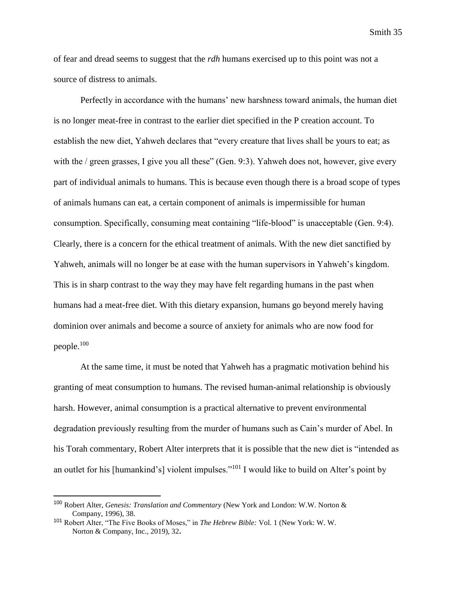of fear and dread seems to suggest that the *rdh* humans exercised up to this point was not a source of distress to animals.

Perfectly in accordance with the humans' new harshness toward animals, the human diet is no longer meat-free in contrast to the earlier diet specified in the P creation account. To establish the new diet, Yahweh declares that "every creature that lives shall be yours to eat; as with the / green grasses, I give you all these" (Gen. 9:3). Yahweh does not, however, give every part of individual animals to humans. This is because even though there is a broad scope of types of animals humans can eat, a certain component of animals is impermissible for human consumption. Specifically, consuming meat containing "life-blood" is unacceptable (Gen. 9:4). Clearly, there is a concern for the ethical treatment of animals. With the new diet sanctified by Yahweh, animals will no longer be at ease with the human supervisors in Yahweh's kingdom. This is in sharp contrast to the way they may have felt regarding humans in the past when humans had a meat-free diet. With this dietary expansion, humans go beyond merely having dominion over animals and become a source of anxiety for animals who are now food for people.<sup>100</sup>

At the same time, it must be noted that Yahweh has a pragmatic motivation behind his granting of meat consumption to humans. The revised human-animal relationship is obviously harsh. However, animal consumption is a practical alternative to prevent environmental degradation previously resulting from the murder of humans such as Cain's murder of Abel. In his Torah commentary, Robert Alter interprets that it is possible that the new diet is "intended as an outlet for his [humankind's] violent impulses."<sup>101</sup> I would like to build on Alter's point by

<sup>100</sup> Robert Alter, *Genesis: Translation and Commentary* (New York and London: W.W. Norton & Company, 1996), 38.

<sup>101</sup> Robert Alter, "The Five Books of Moses," in *The Hebrew Bible:* Vol. 1 (New York: W. W. Norton & Company, Inc., 2019), 32**.**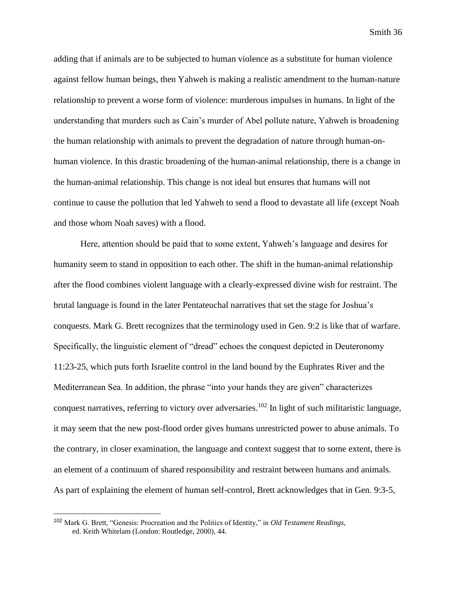adding that if animals are to be subjected to human violence as a substitute for human violence against fellow human beings, then Yahweh is making a realistic amendment to the human-nature relationship to prevent a worse form of violence: murderous impulses in humans. In light of the understanding that murders such as Cain's murder of Abel pollute nature, Yahweh is broadening the human relationship with animals to prevent the degradation of nature through human-onhuman violence. In this drastic broadening of the human-animal relationship, there is a change in the human-animal relationship. This change is not ideal but ensures that humans will not continue to cause the pollution that led Yahweh to send a flood to devastate all life (except Noah and those whom Noah saves) with a flood.

Here, attention should be paid that to some extent, Yahweh's language and desires for humanity seem to stand in opposition to each other. The shift in the human-animal relationship after the flood combines violent language with a clearly-expressed divine wish for restraint. The brutal language is found in the later Pentateuchal narratives that set the stage for Joshua's conquests. Mark G. Brett recognizes that the terminology used in Gen. 9:2 is like that of warfare. Specifically, the linguistic element of "dread" echoes the conquest depicted in Deuteronomy 11:23-25, which puts forth Israelite control in the land bound by the Euphrates River and the Mediterranean Sea. In addition, the phrase "into your hands they are given" characterizes conquest narratives, referring to victory over adversaries.<sup>102</sup> In light of such militaristic language, it may seem that the new post-flood order gives humans unrestricted power to abuse animals. To the contrary, in closer examination, the language and context suggest that to some extent, there is an element of a continuum of shared responsibility and restraint between humans and animals. As part of explaining the element of human self-control, Brett acknowledges that in Gen. 9:3-5,

<sup>102</sup> Mark G. Brett, "Genesis: Procreation and the Politics of Identity," in *Old Testament Readings*, ed. Keith Whitelam (London: Routledge, 2000), 44.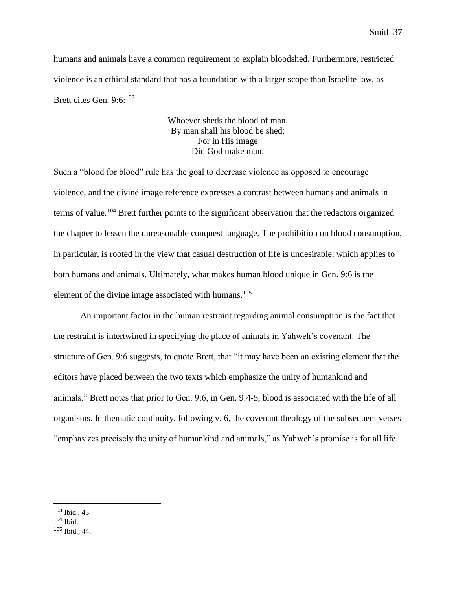humans and animals have a common requirement to explain bloodshed. Furthermore, restricted violence is an ethical standard that has a foundation with a larger scope than Israelite law, as Brett cites Gen. 9:6:<sup>103</sup>

> Whoever sheds the blood of man, By man shall his blood be shed; For in His image Did God make man.

Such a "blood for blood" rule has the goal to decrease violence as opposed to encourage violence, and the divine image reference expresses a contrast between humans and animals in terms of value.<sup>104</sup> Brett further points to the significant observation that the redactors organized the chapter to lessen the unreasonable conquest language. The prohibition on blood consumption, in particular, is rooted in the view that casual destruction of life is undesirable, which applies to both humans and animals. Ultimately, what makes human blood unique in Gen. 9:6 is the element of the divine image associated with humans. $105$ 

An important factor in the human restraint regarding animal consumption is the fact that the restraint is intertwined in specifying the place of animals in Yahweh's covenant. The structure of Gen. 9:6 suggests, to quote Brett, that "it may have been an existing element that the editors have placed between the two texts which emphasize the unity of humankind and animals." Brett notes that prior to Gen. 9:6, in Gen. 9:4-5, blood is associated with the life of all organisms. In thematic continuity, following v. 6, the covenant theology of the subsequent verses "emphasizes precisely the unity of humankind and animals," as Yahweh's promise is for all life.

<sup>103</sup> Ibid., 43.

 $104$  Ibid.

<sup>105</sup> Ibid., 44.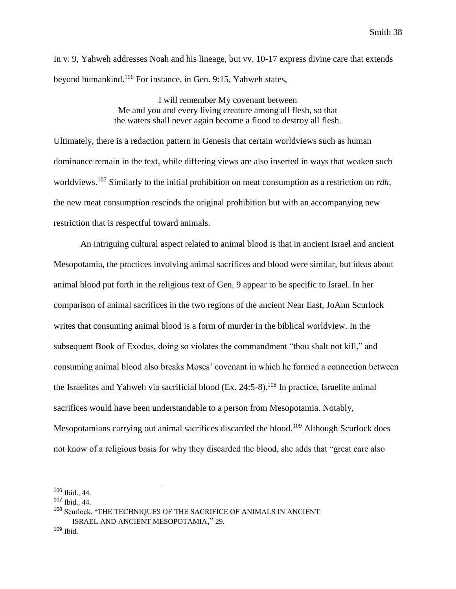In v. 9, Yahweh addresses Noah and his lineage, but vv. 10-17 express divine care that extends beyond humankind.<sup>106</sup> For instance, in Gen. 9:15, Yahweh states,

> I will remember My covenant between Me and you and every living creature among all flesh, so that the waters shall never again become a flood to destroy all flesh.

Ultimately, there is a redaction pattern in Genesis that certain worldviews such as human dominance remain in the text, while differing views are also inserted in ways that weaken such worldviews.<sup>107</sup> Similarly to the initial prohibition on meat consumption as a restriction on *rdh*, the new meat consumption rescinds the original prohibition but with an accompanying new restriction that is respectful toward animals.

An intriguing cultural aspect related to animal blood is that in ancient Israel and ancient Mesopotamia, the practices involving animal sacrifices and blood were similar, but ideas about animal blood put forth in the religious text of Gen. 9 appear to be specific to Israel. In her comparison of animal sacrifices in the two regions of the ancient Near East, JoAnn Scurlock writes that consuming animal blood is a form of murder in the biblical worldview. In the subsequent Book of Exodus, doing so violates the commandment "thou shalt not kill," and consuming animal blood also breaks Moses' covenant in which he formed a connection between the Israelites and Yahweh via sacrificial blood  $(Ex. 24:5-8).$ <sup>108</sup> In practice, Israelite animal sacrifices would have been understandable to a person from Mesopotamia. Notably, Mesopotamians carrying out animal sacrifices discarded the blood.<sup>109</sup> Although Scurlock does not know of a religious basis for why they discarded the blood, she adds that "great care also

<sup>106</sup> Ibid., 44.

<sup>107</sup> Ibid., 44.

<sup>108</sup> Scurlock, "THE TECHNIQUES OF THE SACRIFICE OF ANIMALS IN ANCIENT ISRAEL AND ANCIENT MESOPOTAMIA," 29.

<sup>109</sup> Ibid.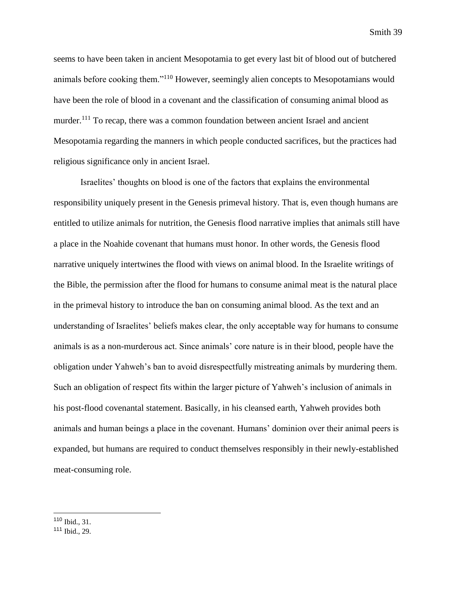seems to have been taken in ancient Mesopotamia to get every last bit of blood out of butchered animals before cooking them."<sup>110</sup> However, seemingly alien concepts to Mesopotamians would have been the role of blood in a covenant and the classification of consuming animal blood as murder.<sup>111</sup> To recap, there was a common foundation between ancient Israel and ancient Mesopotamia regarding the manners in which people conducted sacrifices, but the practices had religious significance only in ancient Israel.

Israelites' thoughts on blood is one of the factors that explains the environmental responsibility uniquely present in the Genesis primeval history. That is, even though humans are entitled to utilize animals for nutrition, the Genesis flood narrative implies that animals still have a place in the Noahide covenant that humans must honor. In other words, the Genesis flood narrative uniquely intertwines the flood with views on animal blood. In the Israelite writings of the Bible, the permission after the flood for humans to consume animal meat is the natural place in the primeval history to introduce the ban on consuming animal blood. As the text and an understanding of Israelites' beliefs makes clear, the only acceptable way for humans to consume animals is as a non-murderous act. Since animals' core nature is in their blood, people have the obligation under Yahweh's ban to avoid disrespectfully mistreating animals by murdering them. Such an obligation of respect fits within the larger picture of Yahweh's inclusion of animals in his post-flood covenantal statement. Basically, in his cleansed earth, Yahweh provides both animals and human beings a place in the covenant. Humans' dominion over their animal peers is expanded, but humans are required to conduct themselves responsibly in their newly-established meat-consuming role.

<sup>110</sup> Ibid., 31.

<sup>111</sup> Ibid., 29.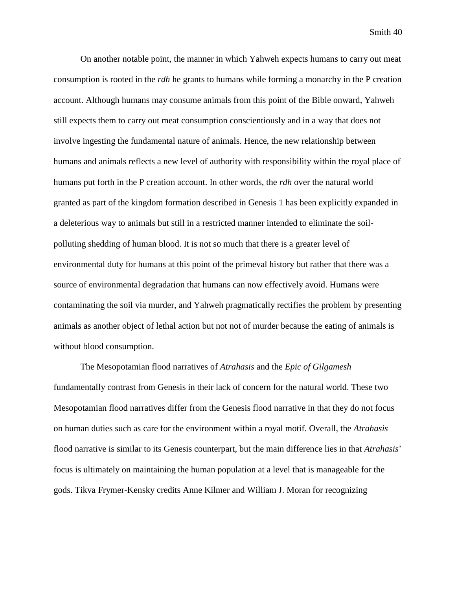On another notable point, the manner in which Yahweh expects humans to carry out meat consumption is rooted in the *rdh* he grants to humans while forming a monarchy in the P creation account. Although humans may consume animals from this point of the Bible onward, Yahweh still expects them to carry out meat consumption conscientiously and in a way that does not involve ingesting the fundamental nature of animals. Hence, the new relationship between humans and animals reflects a new level of authority with responsibility within the royal place of humans put forth in the P creation account. In other words, the *rdh* over the natural world granted as part of the kingdom formation described in Genesis 1 has been explicitly expanded in a deleterious way to animals but still in a restricted manner intended to eliminate the soilpolluting shedding of human blood. It is not so much that there is a greater level of environmental duty for humans at this point of the primeval history but rather that there was a source of environmental degradation that humans can now effectively avoid. Humans were contaminating the soil via murder, and Yahweh pragmatically rectifies the problem by presenting animals as another object of lethal action but not not of murder because the eating of animals is without blood consumption.

The Mesopotamian flood narratives of *Atrahasis* and the *Epic of Gilgamesh*  fundamentally contrast from Genesis in their lack of concern for the natural world. These two Mesopotamian flood narratives differ from the Genesis flood narrative in that they do not focus on human duties such as care for the environment within a royal motif. Overall, the *Atrahasis*  flood narrative is similar to its Genesis counterpart, but the main difference lies in that *Atrahasis*' focus is ultimately on maintaining the human population at a level that is manageable for the gods. Tikva Frymer-Kensky credits Anne Kilmer and William J. Moran for recognizing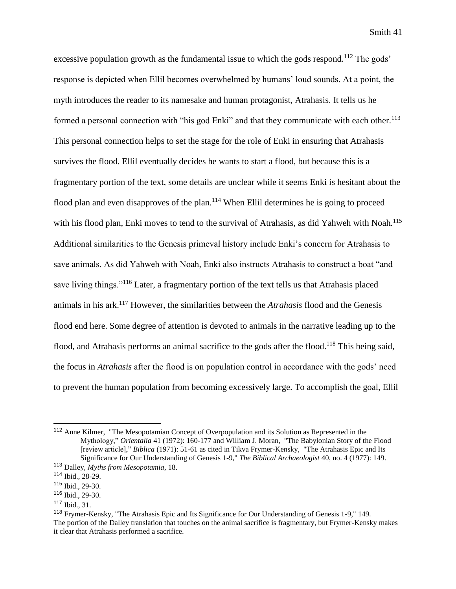excessive population growth as the fundamental issue to which the gods respond.<sup>112</sup> The gods' response is depicted when Ellil becomes overwhelmed by humans' loud sounds. At a point, the myth introduces the reader to its namesake and human protagonist, Atrahasis. It tells us he formed a personal connection with "his god Enki" and that they communicate with each other.<sup>113</sup> This personal connection helps to set the stage for the role of Enki in ensuring that Atrahasis survives the flood. Ellil eventually decides he wants to start a flood, but because this is a fragmentary portion of the text, some details are unclear while it seems Enki is hesitant about the flood plan and even disapproves of the plan.<sup>114</sup> When Ellil determines he is going to proceed with his flood plan, Enki moves to tend to the survival of Atrahasis, as did Yahweh with Noah.<sup>115</sup> Additional similarities to the Genesis primeval history include Enki's concern for Atrahasis to save animals. As did Yahweh with Noah, Enki also instructs Atrahasis to construct a boat "and save living things."<sup>116</sup> Later, a fragmentary portion of the text tells us that Atrahasis placed animals in his ark.<sup>117</sup> However, the similarities between the *Atrahasis* flood and the Genesis flood end here. Some degree of attention is devoted to animals in the narrative leading up to the flood, and Atrahasis performs an animal sacrifice to the gods after the flood.<sup>118</sup> This being said, the focus in *Atrahasis* after the flood is on population control in accordance with the gods' need to prevent the human population from becoming excessively large. To accomplish the goal, Ellil

 $\overline{a}$ 

<sup>117</sup> Ibid., 31.

<sup>112</sup> Anne Kilmer, "The Mesopotamian Concept of Overpopulation and its Solution as Represented in the Mythology," *Orientalia* 41 (1972): 160-177 and William J. Moran, "The Babylonian Story of the Flood [review article]," *Biblica* (1971): 51-61 as cited in Tikva Frymer-Kensky, "The Atrahasis Epic and Its Significance for Our Understanding of Genesis 1-9," *The Biblical Archaeologist* 40, no. 4 (1977): 149.

<sup>113</sup> Dalley, *Myths from Mesopotamia*, 18.

<sup>114</sup> Ibid., 28-29.

<sup>115</sup> Ibid., 29-30.

<sup>116</sup> Ibid., 29-30.

<sup>118</sup> Frymer-Kensky, "The Atrahasis Epic and Its Significance for Our Understanding of Genesis 1-9," 149. The portion of the Dalley translation that touches on the animal sacrifice is fragmentary, but Frymer-Kensky makes it clear that Atrahasis performed a sacrifice.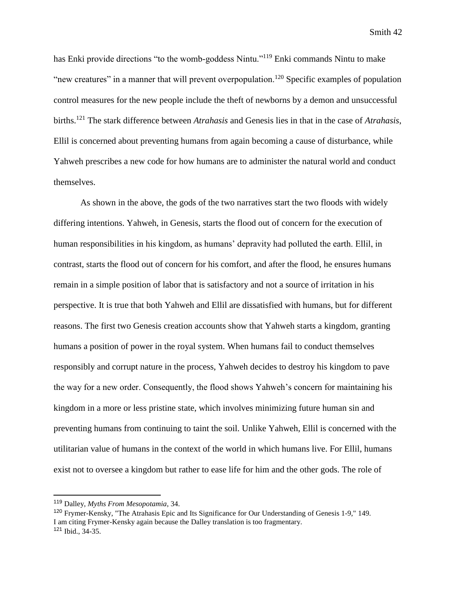has Enki provide directions "to the womb-goddess Nintu."<sup>119</sup> Enki commands Nintu to make "new creatures" in a manner that will prevent overpopulation.<sup>120</sup> Specific examples of population control measures for the new people include the theft of newborns by a demon and unsuccessful births.<sup>121</sup> The stark difference between *Atrahasis* and Genesis lies in that in the case of *Atrahasis*, Ellil is concerned about preventing humans from again becoming a cause of disturbance, while Yahweh prescribes a new code for how humans are to administer the natural world and conduct themselves.

As shown in the above, the gods of the two narratives start the two floods with widely differing intentions. Yahweh, in Genesis, starts the flood out of concern for the execution of human responsibilities in his kingdom, as humans' depravity had polluted the earth. Ellil, in contrast, starts the flood out of concern for his comfort, and after the flood, he ensures humans remain in a simple position of labor that is satisfactory and not a source of irritation in his perspective. It is true that both Yahweh and Ellil are dissatisfied with humans, but for different reasons. The first two Genesis creation accounts show that Yahweh starts a kingdom, granting humans a position of power in the royal system. When humans fail to conduct themselves responsibly and corrupt nature in the process, Yahweh decides to destroy his kingdom to pave the way for a new order. Consequently, the flood shows Yahweh's concern for maintaining his kingdom in a more or less pristine state, which involves minimizing future human sin and preventing humans from continuing to taint the soil. Unlike Yahweh, Ellil is concerned with the utilitarian value of humans in the context of the world in which humans live. For Ellil, humans exist not to oversee a kingdom but rather to ease life for him and the other gods. The role of

<sup>119</sup> Dalley, *Myths From Mesopotamia*, 34.

<sup>120</sup> Frymer-Kensky, "The Atrahasis Epic and Its Significance for Our Understanding of Genesis 1-9," 149. I am citing Frymer-Kensky again because the Dalley translation is too fragmentary. <sup>121</sup> Ibid., 34-35.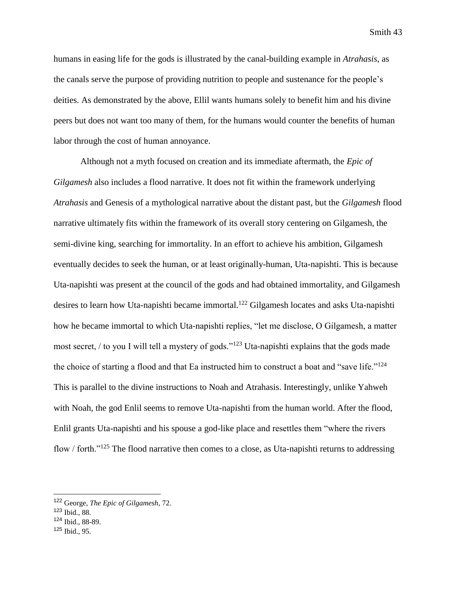humans in easing life for the gods is illustrated by the canal-building example in *Atrahasis*, as the canals serve the purpose of providing nutrition to people and sustenance for the people's deities. As demonstrated by the above, Ellil wants humans solely to benefit him and his divine peers but does not want too many of them, for the humans would counter the benefits of human labor through the cost of human annoyance.

Although not a myth focused on creation and its immediate aftermath, the *Epic of Gilgamesh* also includes a flood narrative. It does not fit within the framework underlying *Atrahasis* and Genesis of a mythological narrative about the distant past, but the *Gilgamesh* flood narrative ultimately fits within the framework of its overall story centering on Gilgamesh, the semi-divine king, searching for immortality. In an effort to achieve his ambition, Gilgamesh eventually decides to seek the human, or at least originally-human, Uta-napishti. This is because Uta-napishti was present at the council of the gods and had obtained immortality, and Gilgamesh desires to learn how Uta-napishti became immortal.<sup>122</sup> Gilgamesh locates and asks Uta-napishti how he became immortal to which Uta-napishti replies, "let me disclose, O Gilgamesh, a matter most secret, / to you I will tell a mystery of gods."<sup>123</sup> Uta-napishti explains that the gods made the choice of starting a flood and that Ea instructed him to construct a boat and "save life."<sup>124</sup> This is parallel to the divine instructions to Noah and Atrahasis. Interestingly, unlike Yahweh with Noah, the god Enlil seems to remove Uta-napishti from the human world. After the flood, Enlil grants Uta-napishti and his spouse a god-like place and resettles them "where the rivers flow / forth."<sup>125</sup> The flood narrative then comes to a close, as Uta-napishti returns to addressing

<sup>122</sup> George, *The Epic of Gilgamesh*, 72.

<sup>123</sup> Ibid., 88.

<sup>124</sup> Ibid., 88-89.

<sup>125</sup> Ibid., 95.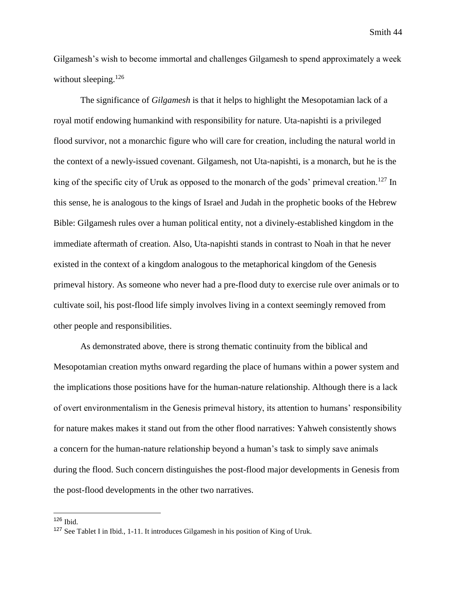Gilgamesh's wish to become immortal and challenges Gilgamesh to spend approximately a week without sleeping. $126$ 

The significance of *Gilgamesh* is that it helps to highlight the Mesopotamian lack of a royal motif endowing humankind with responsibility for nature. Uta-napishti is a privileged flood survivor, not a monarchic figure who will care for creation, including the natural world in the context of a newly-issued covenant. Gilgamesh, not Uta-napishti, is a monarch, but he is the king of the specific city of Uruk as opposed to the monarch of the gods' primeval creation.<sup>127</sup> In this sense, he is analogous to the kings of Israel and Judah in the prophetic books of the Hebrew Bible: Gilgamesh rules over a human political entity, not a divinely-established kingdom in the immediate aftermath of creation. Also, Uta-napishti stands in contrast to Noah in that he never existed in the context of a kingdom analogous to the metaphorical kingdom of the Genesis primeval history. As someone who never had a pre-flood duty to exercise rule over animals or to cultivate soil, his post-flood life simply involves living in a context seemingly removed from other people and responsibilities.

As demonstrated above, there is strong thematic continuity from the biblical and Mesopotamian creation myths onward regarding the place of humans within a power system and the implications those positions have for the human-nature relationship. Although there is a lack of overt environmentalism in the Genesis primeval history, its attention to humans' responsibility for nature makes makes it stand out from the other flood narratives: Yahweh consistently shows a concern for the human-nature relationship beyond a human's task to simply save animals during the flood. Such concern distinguishes the post-flood major developments in Genesis from the post-flood developments in the other two narratives.

 $126$  Ibid.

<sup>127</sup> See Tablet I in Ibid., 1-11. It introduces Gilgamesh in his position of King of Uruk.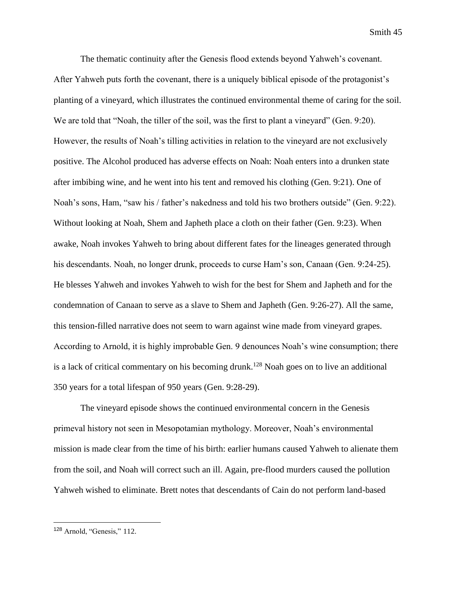The thematic continuity after the Genesis flood extends beyond Yahweh's covenant. After Yahweh puts forth the covenant, there is a uniquely biblical episode of the protagonist's planting of a vineyard, which illustrates the continued environmental theme of caring for the soil. We are told that "Noah, the tiller of the soil, was the first to plant a vineyard" (Gen. 9:20). However, the results of Noah's tilling activities in relation to the vineyard are not exclusively positive. The Alcohol produced has adverse effects on Noah: Noah enters into a drunken state after imbibing wine, and he went into his tent and removed his clothing (Gen. 9:21). One of Noah's sons, Ham, "saw his / father's nakedness and told his two brothers outside" (Gen. 9:22). Without looking at Noah, Shem and Japheth place a cloth on their father (Gen. 9:23). When awake, Noah invokes Yahweh to bring about different fates for the lineages generated through his descendants. Noah, no longer drunk, proceeds to curse Ham's son, Canaan (Gen. 9:24-25). He blesses Yahweh and invokes Yahweh to wish for the best for Shem and Japheth and for the condemnation of Canaan to serve as a slave to Shem and Japheth (Gen. 9:26-27). All the same, this tension-filled narrative does not seem to warn against wine made from vineyard grapes. According to Arnold, it is highly improbable Gen. 9 denounces Noah's wine consumption; there is a lack of critical commentary on his becoming drunk.<sup>128</sup> Noah goes on to live an additional 350 years for a total lifespan of 950 years (Gen. 9:28-29).

The vineyard episode shows the continued environmental concern in the Genesis primeval history not seen in Mesopotamian mythology. Moreover, Noah's environmental mission is made clear from the time of his birth: earlier humans caused Yahweh to alienate them from the soil, and Noah will correct such an ill. Again, pre-flood murders caused the pollution Yahweh wished to eliminate. Brett notes that descendants of Cain do not perform land-based

<sup>128</sup> Arnold, "Genesis," 112.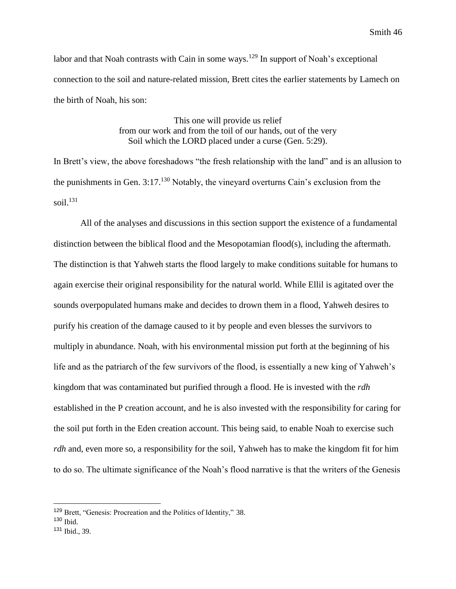labor and that Noah contrasts with Cain in some ways.<sup>129</sup> In support of Noah's exceptional connection to the soil and nature-related mission, Brett cites the earlier statements by Lamech on the birth of Noah, his son:

> This one will provide us relief from our work and from the toil of our hands, out of the very Soil which the LORD placed under a curse (Gen. 5:29).

In Brett's view, the above foreshadows "the fresh relationship with the land" and is an allusion to the punishments in Gen. 3:17.<sup>130</sup> Notably, the vineyard overturns Cain's exclusion from the soil. $131$ 

All of the analyses and discussions in this section support the existence of a fundamental distinction between the biblical flood and the Mesopotamian flood(s), including the aftermath. The distinction is that Yahweh starts the flood largely to make conditions suitable for humans to again exercise their original responsibility for the natural world. While Ellil is agitated over the sounds overpopulated humans make and decides to drown them in a flood, Yahweh desires to purify his creation of the damage caused to it by people and even blesses the survivors to multiply in abundance. Noah, with his environmental mission put forth at the beginning of his life and as the patriarch of the few survivors of the flood, is essentially a new king of Yahweh's kingdom that was contaminated but purified through a flood. He is invested with the *rdh*  established in the P creation account, and he is also invested with the responsibility for caring for the soil put forth in the Eden creation account. This being said, to enable Noah to exercise such *rdh* and, even more so, a responsibility for the soil, Yahweh has to make the kingdom fit for him to do so. The ultimate significance of the Noah's flood narrative is that the writers of the Genesis

<sup>129</sup> Brett, "Genesis: Procreation and the Politics of Identity," 38.

 $130$  Ibid.

<sup>131</sup> Ibid., 39.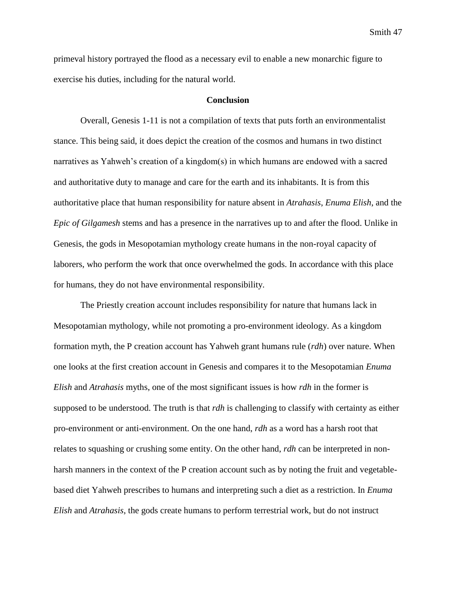primeval history portrayed the flood as a necessary evil to enable a new monarchic figure to exercise his duties, including for the natural world.

#### **Conclusion**

Overall, Genesis 1-11 is not a compilation of texts that puts forth an environmentalist stance. This being said, it does depict the creation of the cosmos and humans in two distinct narratives as Yahweh's creation of a kingdom(s) in which humans are endowed with a sacred and authoritative duty to manage and care for the earth and its inhabitants. It is from this authoritative place that human responsibility for nature absent in *Atrahasis*, *Enuma Elish*, and the *Epic of Gilgamesh* stems and has a presence in the narratives up to and after the flood. Unlike in Genesis, the gods in Mesopotamian mythology create humans in the non-royal capacity of laborers, who perform the work that once overwhelmed the gods. In accordance with this place for humans, they do not have environmental responsibility.

The Priestly creation account includes responsibility for nature that humans lack in Mesopotamian mythology, while not promoting a pro-environment ideology. As a kingdom formation myth, the P creation account has Yahweh grant humans rule (*rdh*) over nature. When one looks at the first creation account in Genesis and compares it to the Mesopotamian *Enuma Elish* and *Atrahasis* myths, one of the most significant issues is how *rdh* in the former is supposed to be understood. The truth is that *rdh* is challenging to classify with certainty as either pro-environment or anti-environment. On the one hand, *rdh* as a word has a harsh root that relates to squashing or crushing some entity. On the other hand, *rdh* can be interpreted in nonharsh manners in the context of the P creation account such as by noting the fruit and vegetablebased diet Yahweh prescribes to humans and interpreting such a diet as a restriction. In *Enuma Elish* and *Atrahasis*, the gods create humans to perform terrestrial work, but do not instruct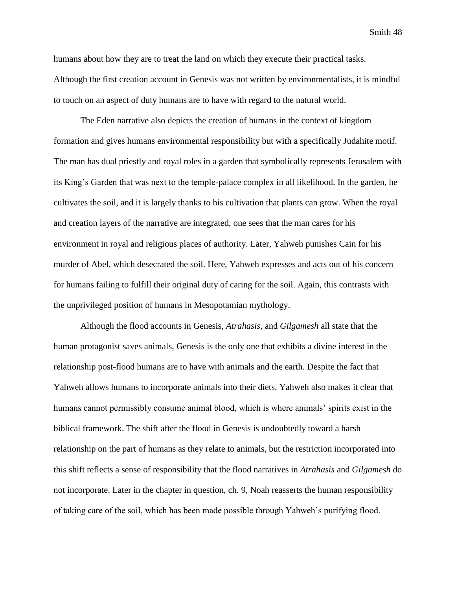humans about how they are to treat the land on which they execute their practical tasks. Although the first creation account in Genesis was not written by environmentalists, it is mindful to touch on an aspect of duty humans are to have with regard to the natural world.

The Eden narrative also depicts the creation of humans in the context of kingdom formation and gives humans environmental responsibility but with a specifically Judahite motif. The man has dual priestly and royal roles in a garden that symbolically represents Jerusalem with its King's Garden that was next to the temple-palace complex in all likelihood. In the garden, he cultivates the soil, and it is largely thanks to his cultivation that plants can grow. When the royal and creation layers of the narrative are integrated, one sees that the man cares for his environment in royal and religious places of authority. Later, Yahweh punishes Cain for his murder of Abel, which desecrated the soil. Here, Yahweh expresses and acts out of his concern for humans failing to fulfill their original duty of caring for the soil. Again, this contrasts with the unprivileged position of humans in Mesopotamian mythology.

Although the flood accounts in Genesis, *Atrahasis*, and *Gilgamesh* all state that the human protagonist saves animals, Genesis is the only one that exhibits a divine interest in the relationship post-flood humans are to have with animals and the earth. Despite the fact that Yahweh allows humans to incorporate animals into their diets, Yahweh also makes it clear that humans cannot permissibly consume animal blood, which is where animals' spirits exist in the biblical framework. The shift after the flood in Genesis is undoubtedly toward a harsh relationship on the part of humans as they relate to animals, but the restriction incorporated into this shift reflects a sense of responsibility that the flood narratives in *Atrahasis* and *Gilgamesh* do not incorporate. Later in the chapter in question, ch. 9, Noah reasserts the human responsibility of taking care of the soil, which has been made possible through Yahweh's purifying flood.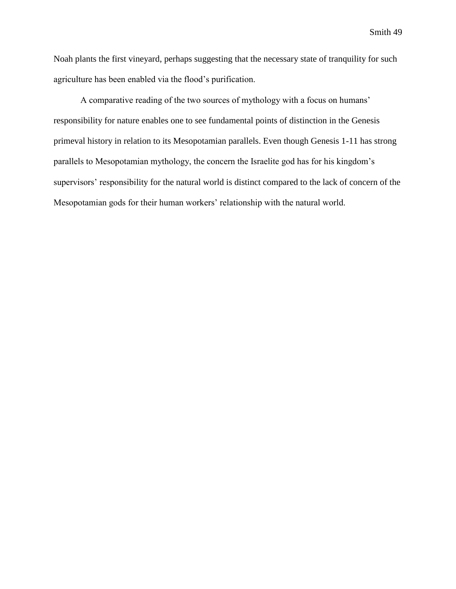Noah plants the first vineyard, perhaps suggesting that the necessary state of tranquility for such agriculture has been enabled via the flood's purification.

A comparative reading of the two sources of mythology with a focus on humans' responsibility for nature enables one to see fundamental points of distinction in the Genesis primeval history in relation to its Mesopotamian parallels. Even though Genesis 1-11 has strong parallels to Mesopotamian mythology, the concern the Israelite god has for his kingdom's supervisors' responsibility for the natural world is distinct compared to the lack of concern of the Mesopotamian gods for their human workers' relationship with the natural world.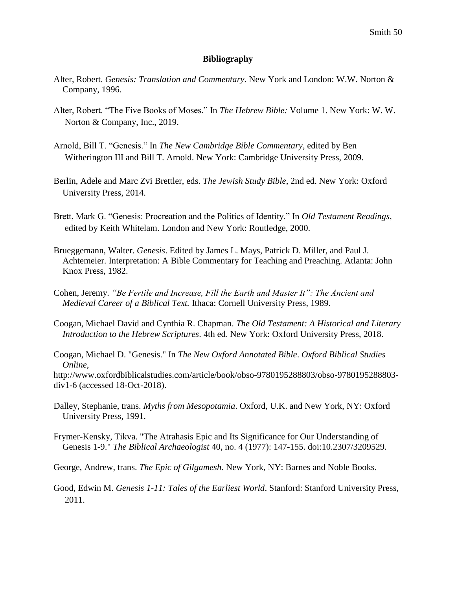#### **Bibliography**

- Alter, Robert. *Genesis: Translation and Commentary.* New York and London: W.W. Norton & Company, 1996.
- Alter, Robert. "The Five Books of Moses." In *The Hebrew Bible:* Volume 1. New York: W. W. Norton & Company, Inc., 2019.
- Arnold, Bill T. "Genesis." In *The New Cambridge Bible Commentary*, edited by Ben Witherington III and Bill T. Arnold. New York: Cambridge University Press, 2009.
- Berlin, Adele and Marc Zvi Brettler, eds. *The Jewish Study Bible*, 2nd ed. New York: Oxford University Press, 2014.
- Brett, Mark G. "Genesis: Procreation and the Politics of Identity." In *Old Testament Readings*, edited by Keith Whitelam. London and New York: Routledge, 2000.
- Brueggemann, Walter. *Genesis*. Edited by James L. Mays, Patrick D. Miller, and Paul J. Achtemeier. Interpretation: A Bible Commentary for Teaching and Preaching. Atlanta: John Knox Press, 1982.
- Cohen, Jeremy. *"Be Fertile and Increase, Fill the Earth and Master It": The Ancient and Medieval Career of a Biblical Text.* Ithaca: Cornell University Press, 1989.
- Coogan, Michael David and Cynthia R. Chapman. *The Old Testament: A Historical and Literary Introduction to the Hebrew Scriptures*. 4th ed. New York: Oxford University Press, 2018.
- Coogan, Michael D. "Genesis." In *The New Oxford Annotated Bible*. *Oxford Biblical Studies Online*,

http://www.oxfordbiblicalstudies.com/article/book/obso-9780195288803/obso-9780195288803 div1-6 (accessed 18-Oct-2018).

- Dalley, Stephanie, trans. *Myths from Mesopotamia*. Oxford, U.K. and New York, NY: Oxford University Press, 1991.
- Frymer-Kensky, Tikva. "The Atrahasis Epic and Its Significance for Our Understanding of Genesis 1-9." *The Biblical Archaeologist* 40, no. 4 (1977): 147-155. doi:10.2307/3209529.

George, Andrew, trans. *The Epic of Gilgamesh*. New York, NY: Barnes and Noble Books.

Good, Edwin M. *Genesis 1-11: Tales of the Earliest World*. Stanford: Stanford University Press, 2011.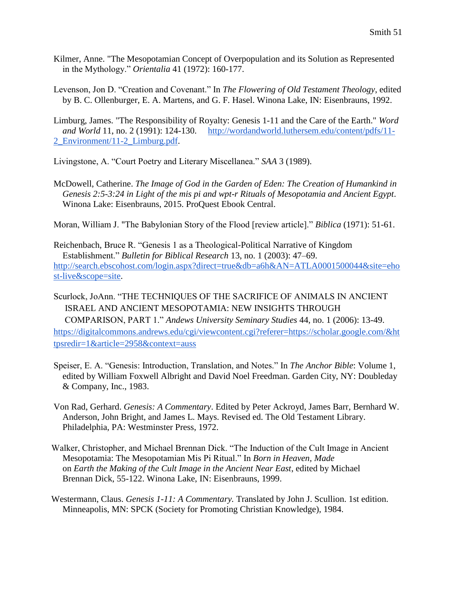- Kilmer, Anne. "The Mesopotamian Concept of Overpopulation and its Solution as Represented in the Mythology." *Orientalia* 41 (1972): 160-177.
- Levenson, Jon D. "Creation and Covenant." In *The Flowering of Old Testament Theology*, edited by B. C. Ollenburger, E. A. Martens, and G. F. Hasel. Winona Lake, IN: Eisenbrauns, 1992.

Limburg, James. "The Responsibility of Royalty: Genesis 1-11 and the Care of the Earth." *Word and World* 11, no. 2 (1991): 124-130. [http://wordandworld.luthersem.edu/content/pdfs/11-](http://wordandworld.luthersem.edu/content/pdfs/11-2_Environment/11-2_Limburg.pdf) [2\\_Environment/11-2\\_Limburg.pdf.](http://wordandworld.luthersem.edu/content/pdfs/11-2_Environment/11-2_Limburg.pdf)

Livingstone, A. "Court Poetry and Literary Miscellanea." *SAA* 3 (1989).

McDowell, Catherine. *The Image of God in the Garden of Eden: The Creation of Humankind in Genesis 2:5-3:24 in Light of the mis pi and wpt-r Rituals of Mesopotamia and Ancient Egypt*. Winona Lake: Eisenbrauns, 2015. ProQuest Ebook Central.

Moran, William J. "The Babylonian Story of the Flood [review article]." *Biblica* (1971): 51-61.

Reichenbach, Bruce R. "Genesis 1 as a Theological-Political Narrative of Kingdom Establishment." *Bulletin for Biblical Research* 13, no. 1 (2003): 47–69. [http://search.ebscohost.com/login.aspx?direct=true&db=a6h&AN=ATLA0001500044&site=eho](http://search.ebscohost.com/login.aspx?direct=true&db=a6h&AN=ATLA0001500044&site=ehost-live&scope=site) [st-live&scope=site.](http://search.ebscohost.com/login.aspx?direct=true&db=a6h&AN=ATLA0001500044&site=ehost-live&scope=site)

Scurlock, JoAnn. "THE TECHNIQUES OF THE SACRIFICE OF ANIMALS IN ANCIENT ISRAEL AND ANCIENT MESOPOTAMIA: NEW INSIGHTS THROUGH COMPARISON, PART 1." *Andews University Seminary Studies* 44, no. 1 (2006): 13-49. [https://digitalcommons.andrews.edu/cgi/viewcontent.cgi?referer=https://scholar.google.com/&ht](https://digitalcommons.andrews.edu/cgi/viewcontent.cgi?referer=https://scholar.google.com/&httpsredir=1&article=2958&context=auss) [tpsredir=1&article=2958&context=auss](https://digitalcommons.andrews.edu/cgi/viewcontent.cgi?referer=https://scholar.google.com/&httpsredir=1&article=2958&context=auss)

- Speiser, E. A. "Genesis: Introduction, Translation, and Notes." In *The Anchor Bible*: Volume 1, edited by William Foxwell Albright and David Noel Freedman. Garden City, NY: Doubleday & Company, Inc., 1983.
- Von Rad, Gerhard. *Genesis: A Commentary*. Edited by Peter Ackroyd, James Barr, Bernhard W. Anderson, John Bright, and James L. Mays. Revised ed. The Old Testament Library. Philadelphia, PA: Westminster Press, 1972.
- Walker, Christopher, and Michael Brennan Dick. "The Induction of the Cult Image in Ancient Mesopotamia: The Mesopotamian Mis Pi Ritual." In *Born in Heaven, Made* on *Earth the Making of the Cult Image in the Ancient Near East*, edited by Michael Brennan Dick, 55-122. Winona Lake, IN: Eisenbrauns, 1999.

 Westermann, Claus. *Genesis 1-11: A Commentary.* Translated by John J. Scullion. 1st edition. Minneapolis, MN: SPCK (Society for Promoting Christian Knowledge), 1984.